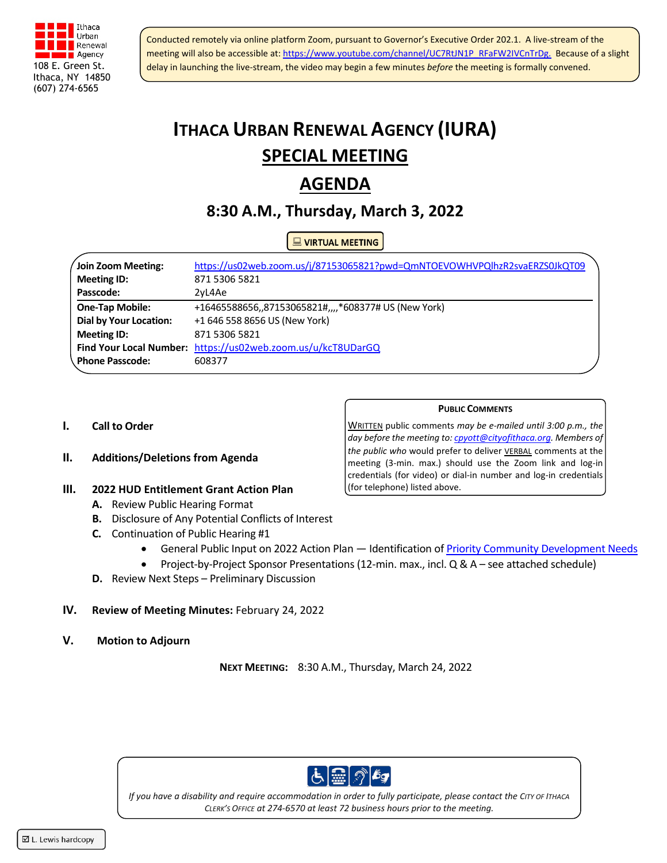

Conducted remotely via online platform Zoom, pursuant to Governor's Executive Order 202.1. A live-stream of the meeting will also be accessible at: [https://www.youtube.com/channel/UC7RtJN1P\\_RFaFW2IVCnTrDg](https://www.youtube.com/channel/UC7RtJN1P_RFaFW2IVCnTrDg). Because of a slight delay in launching the live-stream, the video may begin a few minutes *before* the meeting is formally convened.

# **ITHACA URBAN RENEWAL AGENCY (IURA) SPECIAL MEETING**

# **AGENDA**

# **8:30 A.M., Thursday, March 3, 2022**

## **NE VIRTUAL MEETING**

| Join Zoom Meeting:            | https://us02web.zoom.us/j/87153065821?pwd=QmNTOEVOWHVPQlhzR2svaERZS0JkQT09 |
|-------------------------------|----------------------------------------------------------------------------|
| <b>Meeting ID:</b>            | 871 5306 5821                                                              |
| Passcode:                     | 2vL4Ae                                                                     |
| <b>One-Tap Mobile:</b>        | +16465588656,,87153065821#,,,,*608377# US (New York)                       |
| <b>Dial by Your Location:</b> | +1 646 558 8656 US (New York)                                              |
| <b>Meeting ID:</b>            | 871 5306 5821                                                              |
|                               | Find Your Local Number: https://us02web.zoom.us/u/kcT8UDarGQ               |
| Phone Passcode:               | 608377                                                                     |
|                               |                                                                            |

#### **I. Call to Order**

#### **II. Additions/Deletions from Agenda**

#### **III. 2022 HUD Entitlement Grant Action Plan**

- **A.** Review Public Hearing Format
- **B.** Disclosure of Any Potential Conflicts of Interest
- **C.** Continuation of Public Hearing #1
	- General Public Input on 2022 Action Plan Identification of [Priority Community Development Needs](https://www.cityofithaca.org/DocumentCenter/View/10903/2019-2023-Consolidated-Plan-Priority-Needs)
	- Project-by-Project Sponsor Presentations (12-min. max., incl. Q & A see attached schedule)
- **D.** Review Next Steps Preliminary Discussion

#### **IV. Review of Meeting Minutes:** February 24, 2022

**V. Motion to Adjourn**

**NEXT MEETING:** 8:30 A.M., Thursday, March 24, 2022



*If you have a disability and require accommodation in order to fully participate, please contact the CITY OF ITHACA CLERK'S OFFICE at 274-6570 at least 72 business hours prior to the meeting.*

WRITTEN public comments *may be e-mailed until 3:00 p.m., the day before the meeting to[: cpyott@cityofithaca.org.](mailto:cpyott@cityofithaca.org) Members of the public who* would prefer to deliver VERBAL comments at the meeting (3-min. max.) should use the Zoom link and log-in credentials (for video) or dial-in number and log-in credentials (for telephone) listed above.

**PUBLIC COMMENTS**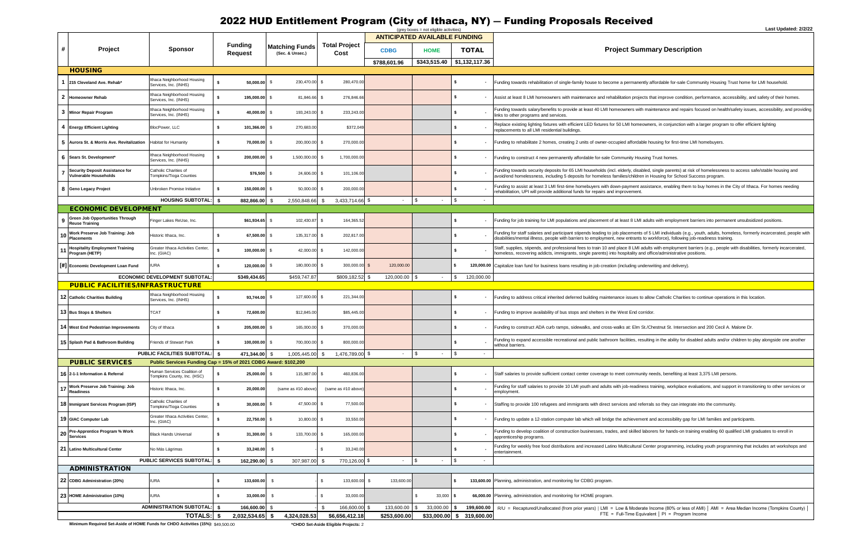# 2022 HUD Entitlement Program (City of Ithaca, NY) ― Funding Proposals Received

#### *<u>Bummary Description</u>*

with maintenance and repairs focused on health/safety issues, accessibility, and providing

ent assistance, enabling them to buy homes in the City of Ithaca. For homes needing<br>ment.

nents of 5 LMI individuals (e.g., youth, adults, homeless, formerly incarcerated, people with ants to workforce), following job-readiness training.

LMI adults with employment barriers (e.g., people with disabilities, formerly incarcerated, migrants come empreyment editions, incorporations, into an office/administrative positions.

s, resulting in the ability for disabled adults and/or children to play alongside one another

adiness training, workplace evaluations, and support in transitioning to other services or

tural Center programming, including youth programming that includes art workshops and

oderate Income (80% or less of AMI) │ AMI = Area Median Income (Tompkins County) │  $E$ Fquivalent | PI = Program Income

|              |                                                                        |                                                                 |                                  |                                          |                              |                                      | $(grey boxes = not eligible activities)$ |                            | ∟ast ∪pɑate                                                                                                                                                                                                                                                                                    |
|--------------|------------------------------------------------------------------------|-----------------------------------------------------------------|----------------------------------|------------------------------------------|------------------------------|--------------------------------------|------------------------------------------|----------------------------|------------------------------------------------------------------------------------------------------------------------------------------------------------------------------------------------------------------------------------------------------------------------------------------------|
|              |                                                                        |                                                                 |                                  |                                          |                              | <b>ANTICIPATED AVAILABLE FUNDING</b> |                                          |                            |                                                                                                                                                                                                                                                                                                |
| #            | Project                                                                | <b>Sponsor</b>                                                  | <b>Funding</b><br><b>Request</b> | <b>Matching Funds</b><br>(Sec. & Unsec.) | <b>Total Project</b><br>Cost | <b>CDBG</b>                          | <b>HOME</b>                              | <b>TOTAL</b>               | <b>Project Summary Description</b>                                                                                                                                                                                                                                                             |
|              |                                                                        |                                                                 |                                  |                                          |                              | \$788,601.96                         | \$343,515.40                             | \$1,132,117.36             |                                                                                                                                                                                                                                                                                                |
|              | <b>HOUSING</b>                                                         |                                                                 |                                  |                                          |                              |                                      |                                          |                            |                                                                                                                                                                                                                                                                                                |
|              | 215 Cleveland Ave. Rehab*                                              | Ithaca Neighborhood Housing<br>Services, Inc. (INHS)            | 50,000.00                        | 230,470.00 \$<br>- \$                    | 280,470.00                   |                                      |                                          |                            | Funding towards rehabilitation of single-family house to become a permanently affordable for-sale Community Housing Trust home for LMI household.                                                                                                                                              |
| $\mathbf{2}$ | <b>Homeowner Rehab</b>                                                 | Ithaca Neighborhood Housing<br>Services, Inc. (INHS)            | 195,000.00 \$                    | 81,846.66 \$                             | 276,846.66                   |                                      |                                          |                            | Assist at least 8 LMI homeowners with maintenance and rehabilitation projects that improve condition, performance, accessibility, and safety of their hon                                                                                                                                      |
| 3            | <b>Minor Repair Program</b>                                            | Ithaca Neighborhood Housing<br>Services, Inc. (INHS)            | 40,000.00 \$                     | 193,243.00 \$                            | 233,243.00                   |                                      |                                          | \$.                        | Funding towards salary/benefits to provide at least 40 LMI homeowners with maintenance and repairs focused on health/safety issues, accessibility, and<br>links to other programs and services.                                                                                                |
|              | 4 Energy Efficient Lighting                                            | BlocPower, LLC                                                  | 101,366.00 \$<br>-S              | 270,683.00                               | \$372,049                    |                                      |                                          |                            | Replace existing lighting fixtures with efficient LED fixtures for 50 LMI homeowners, in conjunction with a larger program to offer efficient lighting<br>replacements to all LMI residential buildings.                                                                                       |
| 5.           | Aurora St. & Morris Ave. Revitalization                                | Habitat for Humanity                                            | s.<br>70,000.00 \$               | 200,000.00 \$                            | 270,000.00                   |                                      |                                          | \$                         | Funding to rehabilitate 2 homes, creating 2 units of owner-occupied affordable housing for first-time LMI homebuyers.                                                                                                                                                                          |
| 6            | Sears St. Development*                                                 | Ithaca Neighborhood Housing<br>Services, Inc. (INHS)            | 200,000.00                       | 1,500,000.00 \$<br>- \$                  | 1,700,000.00                 |                                      |                                          | \$                         | Funding to construct 4 new permanently affordable for-sale Community Housing Trust homes.                                                                                                                                                                                                      |
|              | <b>Security Deposit Assistance for</b><br><b>Vulnerable Households</b> | Catholic Charities of<br>ompkins/Tioga Counties                 | \$76,500 \$                      | 24,606.00 \$                             | 101,106.00                   |                                      |                                          |                            | Funding towards security deposits for 65 LMI households (incl. elderly, disabled, single parents) at risk of homelessness to access safe/stable housing a<br>avoid/end homelessness, including 5 deposits for homeless families/children in Housing for School Success program.                |
|              | 8 Geno Legacy Project                                                  | Unbroken Promise Initiative                                     | 150,000.00 \$<br>-S.             | 50,000.00 \$                             | 200,000.00                   |                                      |                                          |                            | Funding to assist at least 3 LMI first-time homebuyers with down-payment assistance, enabling them to buy homes in the City of Ithaca. For homes neec<br>rehabilitation, UPI will provide additional funds for repairs and improvement.                                                        |
|              |                                                                        | <b>HOUSING SUBTOTAL:   \$</b>                                   | 882,866.00 \$                    | 2,550,848.66                             | 3,433,714.66 \$<br>S.        | $\sim$ $-$                           | $\mathfrak{s}$                           | \$<br>$\sim$               |                                                                                                                                                                                                                                                                                                |
|              | <b>ECONOMIC DEVELOPMENT</b>                                            |                                                                 |                                  |                                          |                              |                                      |                                          |                            |                                                                                                                                                                                                                                                                                                |
|              | <b>Green Job Opportunities Through</b><br><b>Reuse Training</b>        | Finger Lakes ReUse, Inc.                                        | \$61,934.65 \$                   | 102,430.87 \$                            | 164,365.52                   |                                      |                                          | \$                         | Funding for job training for LMI populations and placement of at least 8 LMI adults with employment barriers into permanent unsubsidized positions.                                                                                                                                            |
|              | Work Preserve Job Training: Job<br><b>Placements</b>                   | Historic Ithaca, Inc.                                           | 67,500.00 \$<br>-S.              | 135,317.00 \$                            | 202,817.00                   |                                      |                                          | \$                         | Funding for staff salaries and participant stipends leading to job placements of 5 LMI individuals (e.g., youth, adults, homeless, formerly incarcerated, pe<br>disabilities/mental illness, people with barriers to employment, new entrants to workforce), following job-readiness training. |
|              | <b>Hospitality Employment Training</b><br>Program (HETP)               | Greater Ithaca Activities Center,<br>Inc. (GIAC)                | 100,000.00 \$                    | 42,000.00 \$                             | 142,000.00                   |                                      |                                          |                            | Staff, supplies, stipends, and professional fees to train 10 and place 8 LMI adults with employment barriers (e.g., people with disabilities, formerly incarce<br>homeless, recovering addicts, immigrants, single parents) into hospitality and office/administrative positions.              |
|              | [#] Economic Development Loan Fund                                     | <b>IURA</b>                                                     | 120,000.00 \$<br>-S.             | 180,000.00 \$                            | 300,000.00 \$                | 120,000.00                           |                                          |                            | 120,000.00 Capitalize loan fund for business loans resulting in job creation (including underwriting and delivery).                                                                                                                                                                            |
|              |                                                                        | ECONOMIC DEVELOPMENT SUBTOTAL                                   | \$349,434.65                     | \$459,747.87                             | \$809,182.52                 | 120,000.00                           | \$                                       | $\mathbb{S}$<br>120,000.00 |                                                                                                                                                                                                                                                                                                |
|              | <b>PUBLIC FACILITIES/INFRASTRUCTURE</b>                                |                                                                 |                                  |                                          |                              |                                      |                                          |                            |                                                                                                                                                                                                                                                                                                |
|              | 12 Catholic Charities Building                                         | Ithaca Neighborhood Housing<br>Services, Inc. (INHS)            | 93,744.00 \$                     | 127,600.00 \$                            | 221,344.00                   |                                      |                                          | \$                         | Funding to address critical inherited deferred building maintenance issues to allow Catholic Charities to continue operations in this location.                                                                                                                                                |
|              | 13 Bus Stops & Shelters                                                | <b>CAT</b>                                                      | 72,600.00<br>- \$                | \$12,845.00                              | \$85,445.00                  |                                      |                                          | s.                         | Funding to improve availability of bus stops and shelters in the West End corridor.                                                                                                                                                                                                            |
|              | 14 West End Pedestrian Improvements                                    | City of Ithaca                                                  | 205,000.00<br>-S                 | 165,000.00 \$                            | 370,000.00                   |                                      |                                          | s                          | Funding to construct ADA curb ramps, sidewalks, and cross-walks at: Elm St./Chestnut St. Intersection and 200 Cecil A. Malone Dr.                                                                                                                                                              |
|              | 15 Splash Pad & Bathroom Building                                      | <b>Friends of Stewart Park</b>                                  | 100,000.00 \$<br>- \$            | 700,000.00 \$                            | 800,000.00                   |                                      |                                          |                            | Funding to expand accessible recreational and public bathroom facilities, resulting in the ability for disabled adults and/or children to play alongside one a<br>ithout barriers.                                                                                                             |
|              |                                                                        | <b>PUBLIC FACILITIES SUBTOTAL:</b> \$                           | 471,344.00 \$                    | 1,005,445.00                             | 1,476,789.00 \$<br>-\$       |                                      | \$                                       | \$                         |                                                                                                                                                                                                                                                                                                |
|              | <b>PUBLIC SERVICES</b>                                                 | Public Services Funding Cap = 15% of 2021 CDBG Award: \$102,200 |                                  |                                          |                              |                                      |                                          |                            |                                                                                                                                                                                                                                                                                                |
|              | 16   2-1-1 Information & Referral                                      | Human Services Coalition of<br>Tompkins County, Inc. (HSC)      | 25,000.00 \$                     | 115,987.00 \$                            | 460,836.00                   |                                      |                                          | \$                         | Staff salaries to provide sufficient contact center coverage to meet community needs, benefiting at least 3,375 LMI persons.                                                                                                                                                                   |
|              | Work Preserve Job Training: Job<br><b>Readiness</b>                    | listoric Ithaca, Inc.                                           | 20,000.00<br>s.                  | (same as #10 above                       | (same as #10 above           |                                      |                                          |                            | Funding for staff salaries to provide 10 LMI youth and adults with job-readiness training, workplace evaluations, and support in transitioning to other servi<br>employment                                                                                                                    |
|              | 18 Immigrant Services Program (ISP)                                    | Catholic Charities of<br><b>Fompkins/Tioga Counties</b>         | $30,000.00$ \$<br>- \$           | 47,500.00 \$                             | 77,500.00                    |                                      |                                          | \$                         | Staffing to provide 100 refugees and immigrants with direct services and referrals so they can integrate into the community.                                                                                                                                                                   |
|              | 19 GIAC Computer Lab                                                   | Greater Ithaca Activities Center,<br>Inc. (GIAC)                | 22,750.00 \$                     | 10,800.00 \$                             | 33,550.00                    |                                      |                                          | \$                         | Funding to update a 12-station computer lab which will bridge the achievement and accessibility gap for LMI families and participants.                                                                                                                                                         |
| 20           | Pre-Apprentice Program % Work<br><b>Services</b>                       | <b>Black Hands Universal</b>                                    | \$<br>$31,300.00$ \$             | 133,700.00 \$                            | 165,000.00                   |                                      |                                          | \$                         | Funding to develop coalition of construction businesses, trades, and skilled laborers for hands-on training enabling 60 qualified LMI graduates to enroll in<br>apprenticeship programs.                                                                                                       |
|              | 21 Latino Multicultural Center                                         | No Más Lágrimas                                                 | 33,240.00 \$<br>- \$             |                                          | 33,240.00<br>\$              |                                      |                                          |                            | Funding for weekly free food distributions and increased Latino Multicultural Center programming, including youth programming that includes art worksho<br>entertainment.                                                                                                                      |
|              |                                                                        | <b>PUBLIC SERVICES SUBTOTAL:   \$</b>                           | 162,290.00 \$                    | 307,987.00 \$                            | 770,126.00 \$                |                                      | \$                                       | \$                         |                                                                                                                                                                                                                                                                                                |
|              | <b>ADMINISTRATION</b>                                                  |                                                                 |                                  |                                          |                              |                                      |                                          |                            |                                                                                                                                                                                                                                                                                                |
|              | 22 CDBG Administration (20%)                                           | <b>IURA</b>                                                     | 133,600.00<br>-S                 | - S                                      | 133,600.00<br>\$             | 133,600.00<br>- \$                   |                                          |                            | 133,600.00 Planning, administration, and monitoring for CDBG program                                                                                                                                                                                                                           |
|              | 23 HOME Administration (10%)                                           | <b>IURA</b>                                                     | 33,000.00<br>- \$                | - S                                      | 33,000.00<br>\$              |                                      | S<br>33,000                              | \$                         | 66,000.00 Planning, administration, and monitoring for HOME program.                                                                                                                                                                                                                           |
|              |                                                                        | ADMINISTRATION SUBTOTAL:   \$                                   | 166,600.00 \$                    |                                          | 166,600.00                   | 133,600.00                           | 33,000.00                                | 199,600.00                 | R/U = Recaptured/Unallocated (from prior years)   LMI = Low & Moderate Income (80% or less of AMI)   AMI = Area Median Income (Tompkins C                                                                                                                                                      |
|              |                                                                        | <b>TOTALS: \$</b>                                               | 2,032,534.65 \$                  | 4,324,028.53                             | \$6,656,412.18               | \$253,600.00                         | \$33,000.00                              | \$ 319,600.00              | FTE = Full-Time Equivalent $ $ PI = Program Income                                                                                                                                                                                                                                             |

**Minimum Required Set-Aside of HOME Funds for CHDO Activities (15%):** \$49,500.00 **\*CHDO Set-Aside Eligible Projects:** 2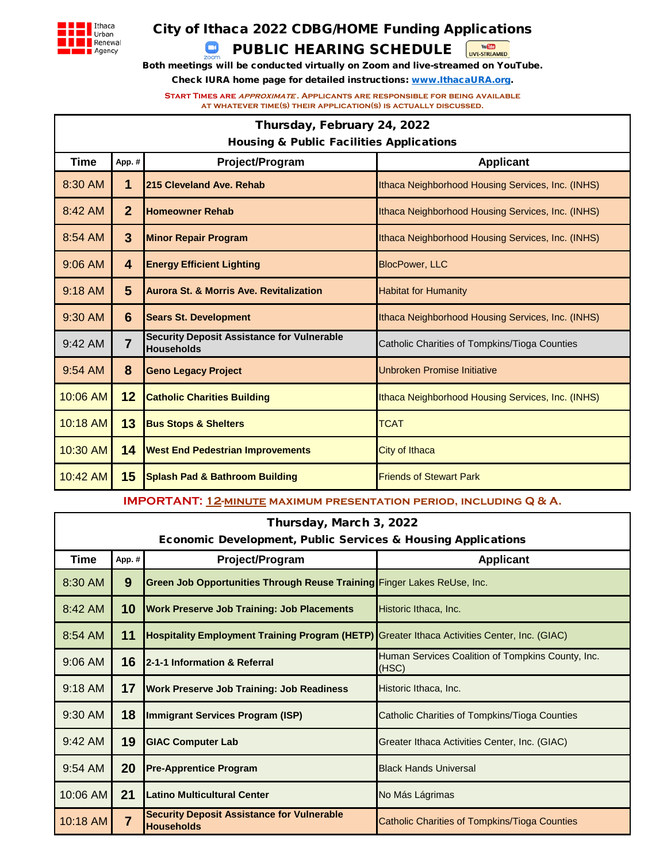

# City of Ithaca 2022 CDBG/HOME Funding Applications

# PUBLIC HEARING SCHEDULE

 $\Box$ 

Both meetings will be conducted virtually on Zoom and live-streamed on YouTube.

You May

Check IURA home page for detailed instructions: www.IthacaURA.org.

**Start Times are approximate . Applicants are responsible for being available at whatever time(s) their application(s) is actually discussed.**

|                   | Thursday, February 24, 2022                         |                                                                        |                                                   |  |  |  |  |
|-------------------|-----------------------------------------------------|------------------------------------------------------------------------|---------------------------------------------------|--|--|--|--|
|                   | <b>Housing &amp; Public Facilities Applications</b> |                                                                        |                                                   |  |  |  |  |
| Time              | Project/Program<br><b>Applicant</b><br>App.#        |                                                                        |                                                   |  |  |  |  |
| 8:30 AM           | 1                                                   | 215 Cleveland Ave. Rehab                                               | Ithaca Neighborhood Housing Services, Inc. (INHS) |  |  |  |  |
| 8:42 AM           | $\overline{2}$                                      | <b>Homeowner Rehab</b>                                                 | Ithaca Neighborhood Housing Services, Inc. (INHS) |  |  |  |  |
| 8:54 AM           | 3                                                   | <b>Minor Repair Program</b>                                            | Ithaca Neighborhood Housing Services, Inc. (INHS) |  |  |  |  |
| $9:06$ AM         | 4                                                   | <b>Energy Efficient Lighting</b><br><b>BlocPower, LLC</b>              |                                                   |  |  |  |  |
| $9:18$ AM         | $5\phantom{.}$                                      | <b>Aurora St. &amp; Morris Ave. Revitalization</b>                     | <b>Habitat for Humanity</b>                       |  |  |  |  |
| 9:30 AM           | 6                                                   | <b>Sears St. Development</b>                                           | Ithaca Neighborhood Housing Services, Inc. (INHS) |  |  |  |  |
| $9:42 \text{ AM}$ | $\overline{7}$                                      | <b>Security Deposit Assistance for Vulnerable</b><br><b>Households</b> | Catholic Charities of Tompkins/Tioga Counties     |  |  |  |  |
| 9:54 AM           | 8                                                   | <b>Geno Legacy Project</b>                                             | <b>Unbroken Promise Initiative</b>                |  |  |  |  |
| 10:06 AM          | 12                                                  | <b>Catholic Charities Building</b>                                     | Ithaca Neighborhood Housing Services, Inc. (INHS) |  |  |  |  |
| 10:18 AM          | 13                                                  | <b>Bus Stops &amp; Shelters</b>                                        | <b>TCAT</b>                                       |  |  |  |  |
| 10:30 AM          | 14                                                  | <b>West End Pedestrian Improvements</b>                                | City of Ithaca                                    |  |  |  |  |
| 10:42 AM          | 15                                                  | <b>Splash Pad &amp; Bathroom Building</b>                              | <b>Friends of Stewart Park</b>                    |  |  |  |  |

**IMPORTANT: 12-MINUTE MAXIMUM PRESENTATION PERIOD, INCLUDING Q & A.** 

| Thursday, March 3, 2022 |                                                                         |                                                                                                     |                                                            |  |  |  |  |
|-------------------------|-------------------------------------------------------------------------|-----------------------------------------------------------------------------------------------------|------------------------------------------------------------|--|--|--|--|
|                         | <b>Economic Development, Public Services &amp; Housing Applications</b> |                                                                                                     |                                                            |  |  |  |  |
| <b>Time</b>             | Project/Program<br><b>Applicant</b><br>App.#                            |                                                                                                     |                                                            |  |  |  |  |
| 8:30 AM                 | 9                                                                       | Green Job Opportunities Through Reuse Training Finger Lakes ReUse, Inc.                             |                                                            |  |  |  |  |
| $8:42 \text{ AM}$       | 10                                                                      | <b>Work Preserve Job Training: Job Placements</b>                                                   | Historic Ithaca, Inc.                                      |  |  |  |  |
| 8:54 AM                 | 11                                                                      | <b>Hospitality Employment Training Program (HETP)</b> Greater Ithaca Activities Center, Inc. (GIAC) |                                                            |  |  |  |  |
| 9:06 AM                 | 16                                                                      | 2-1-1 Information & Referral                                                                        | Human Services Coalition of Tompkins County, Inc.<br>(HSC) |  |  |  |  |
| 9:18 AM                 | 17                                                                      | <b>Work Preserve Job Training: Job Readiness</b>                                                    | Historic Ithaca, Inc.                                      |  |  |  |  |
| 9:30 AM                 | 18                                                                      | Immigrant Services Program (ISP)                                                                    | Catholic Charities of Tompkins/Tioga Counties              |  |  |  |  |
| 9:42 AM                 | 19                                                                      | <b>GIAC Computer Lab</b>                                                                            | Greater Ithaca Activities Center, Inc. (GIAC)              |  |  |  |  |
| 9:54 AM                 | 20                                                                      | <b>Pre-Apprentice Program</b>                                                                       | <b>Black Hands Universal</b>                               |  |  |  |  |
| 10:06 AM                | 21                                                                      | Latino Multicultural Center                                                                         | No Más Lágrimas                                            |  |  |  |  |
| 10:18 AM                | $\overline{7}$                                                          | <b>Security Deposit Assistance for Vulnerable</b><br><b>Households</b>                              | Catholic Charities of Tompkins/Tioga Counties              |  |  |  |  |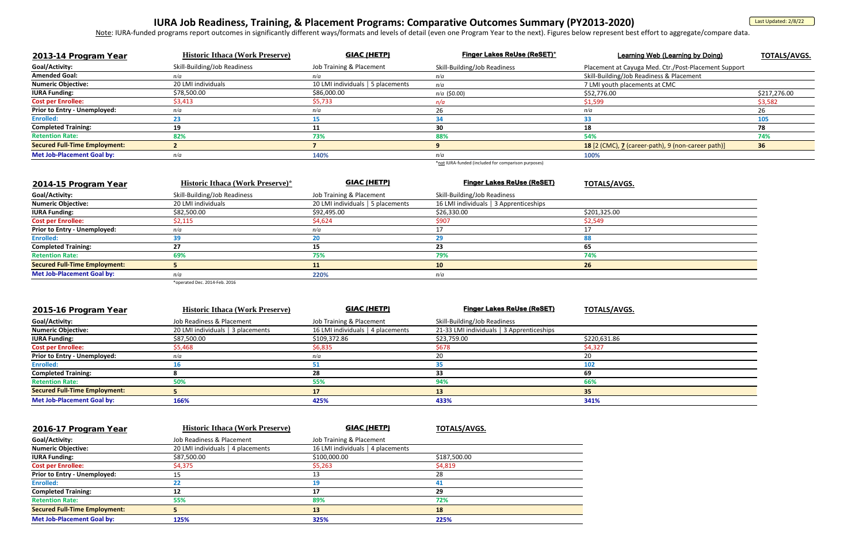### **Finger Lakes ReUse (ReSET)\*** Learning Web (Learning by Doing) **TOTALS/AVGS.**

# **IURA Job Readiness, Training, & Placement Programs: Comparative Outcomes Summary (PY2013-2020)**

<u>Note</u>: IURA-funded programs report outcomes in significantly different ways/formats and levels of detail (even one Program Year to the next). Figures below represent best effort to aggregate/compare data.

| 2013-14 Program Year                 | <b>Historic Ithaca (Work Preserve)</b> | <b>GIAC (HETP)</b>                | <b>Finger Lakes ReUse (ReSET)*</b> | <b>Learning Web (Learning by Doing)</b>              | TOTALS/      |
|--------------------------------------|----------------------------------------|-----------------------------------|------------------------------------|------------------------------------------------------|--------------|
| Goal/Activity:                       | Skill-Building/Job Readiness           | Job Training & Placement          | Skill-Building/Job Readiness       | Placement at Cayuga Med. Ctr./Post-Placement Support |              |
| <b>Amended Goal:</b>                 | n/a                                    | n/a                               | n/a                                | Skill-Building/Job Readiness & Placement             |              |
| <b>Numeric Objective:</b>            | 20 LMI individuals                     | 10 LMI individuals   5 placements | n/a                                | 7 LMI youth placements at CMC                        |              |
| <b>IURA Funding:</b>                 | \$78,500.00                            | \$86,000.00                       | $n/a$ (\$0.00)                     | \$52,776.00                                          | \$217,276.00 |
| <b>Cost per Enrollee:</b>            | \$3,413                                | \$5,733                           | n/a                                | \$1,599                                              | \$3,582      |
| <b>Prior to Entry - Unemployed:</b>  | n/a                                    | n/a                               |                                    |                                                      |              |
| Enrolled:                            |                                        |                                   |                                    |                                                      |              |
| <b>Completed Training:</b>           |                                        |                                   | 30                                 |                                                      |              |
| <b>Retention Rate:</b>               | 82%                                    | 73%                               | 88%                                | 54%                                                  | 74%          |
| <b>Secured Full-Time Employment:</b> |                                        |                                   |                                    | 18 [2 (CMC), 7 (career-path), 9 (non-career path)]   | 36           |
| <b>Met Job-Placement Goal by:</b>    | n/a                                    | 140%                              | n/a                                | 100%                                                 |              |
|                                      |                                        |                                   |                                    |                                                      |              |

| 2015-16 Program Year                 | <b>Historic Ithaca (Work Preserve)</b> | <b>GIAC (HETP)</b>                | <b>Finger Lakes ReUse (ReSET)</b>         | <b>TOTALS/AVGS.</b> |
|--------------------------------------|----------------------------------------|-----------------------------------|-------------------------------------------|---------------------|
| Goal/Activity:                       | Job Readiness & Placement              | Job Training & Placement          | Skill-Building/Job Readiness              |                     |
| <b>Numeric Objective:</b>            | 20 LMI individuals   3 placements      | 16 LMI individuals   4 placements | 21-33 LMI individuals   3 Apprenticeships |                     |
| <b>IURA Funding:</b>                 | \$87,500.00                            | \$109,372.86                      | \$23,759.00                               | \$220,631.86        |
| <b>Cost per Enrollee:</b>            | \$5,468                                | \$6,835                           | \$678                                     | \$4,327             |
| <b>Prior to Entry - Unemployed:</b>  | n/a                                    | n/a                               | 20                                        | 20                  |
| <b>Enrolled:</b>                     | 16                                     |                                   |                                           | 102                 |
| <b>Completed Training:</b>           |                                        | 28                                | 33                                        | 69                  |
| <b>Retention Rate:</b>               | 50%                                    | 55%                               | 94%                                       | 66%                 |
| <b>Secured Full-Time Employment:</b> |                                        | 17                                | 13                                        | 35                  |
| <b>Met Job-Placement Goal by:</b>    | 166%                                   | 425%                              | 433%                                      | 341%                |

| 2014-15 Program Year                 | <b>Historic Ithaca (Work Preserve)*</b> | <b>GIAC (HETP)</b>                | <b>Finger Lakes ReUse (ReSET)</b>      | <b>TOTALS/AVGS.</b> |
|--------------------------------------|-----------------------------------------|-----------------------------------|----------------------------------------|---------------------|
| Goal/Activity:                       | Skill-Building/Job Readiness            | Job Training & Placement          | Skill-Building/Job Readiness           |                     |
| <b>Numeric Objective:</b>            | 20 LMI individuals                      | 20 LMI individuals   5 placements | 16 LMI individuals   3 Apprenticeships |                     |
| <b>IURA Funding:</b>                 | \$82,500.00                             | \$92,495.00                       | \$26,330.00                            | \$201,325.00        |
| <b>Cost per Enrollee:</b>            | \$2,115                                 | \$4,624                           | \$907                                  | \$2,549             |
| <b>Prior to Entry - Unemployed:</b>  | n/a                                     | n/a                               |                                        |                     |
| <b>Enrolled:</b>                     | 39                                      | 20                                | 29                                     | 88                  |
| <b>Completed Training:</b>           | 27                                      | 15                                | 23                                     | 65                  |
| <b>Retention Rate:</b>               | 69%                                     | 75%                               | 79%                                    | 74%                 |
| <b>Secured Full-Time Employment:</b> |                                         | 11                                | 10                                     | 26                  |
| <b>Met Job-Placement Goal by:</b>    | n/a                                     | 220%                              | n/a                                    |                     |
|                                      | *operated Dec. 2014-Feb. 2016           |                                   |                                        |                     |

| 2016-17 Program Year                 | <b>Historic Ithaca (Work Preserve)</b> | GIAC (HETP)                       | <b>TOTALS/AVGS.</b> |
|--------------------------------------|----------------------------------------|-----------------------------------|---------------------|
| Goal/Activity:                       | Job Readiness & Placement              | Job Training & Placement          |                     |
| <b>Numeric Objective:</b>            | 20 LMI individuals   4 placements      | 16 LMI individuals   4 placements |                     |
| <b>IURA Funding:</b>                 | \$87,500.00                            | \$100,000.00                      | \$187,500.00        |
| <b>Cost per Enrollee:</b>            | \$4,375                                | \$5,263                           | \$4,819             |
| <b>Prior to Entry - Unemployed:</b>  | 15.                                    |                                   | 28                  |
| <b>Enrolled:</b>                     |                                        | 19                                | 41                  |
| <b>Completed Training:</b>           | 12                                     | 17                                | 29                  |
| <b>Retention Rate:</b>               | 55%                                    | 89%                               | 72%                 |
| <b>Secured Full-Time Employment:</b> |                                        | 13                                | 18                  |
| <b>Met Job-Placement Goal by:</b>    | 125%                                   | 325%                              | 225%                |

| Med. Ctr./Post-Placement Support |              |
|----------------------------------|--------------|
| diness & Placement               |              |
| nts at CMC                       |              |
|                                  | \$217,276.00 |
|                                  | \$3,582      |
|                                  | 26           |
|                                  | 105          |
|                                  | 78           |
|                                  | 74%          |



\*not IURA-funded (included for comparison purposes)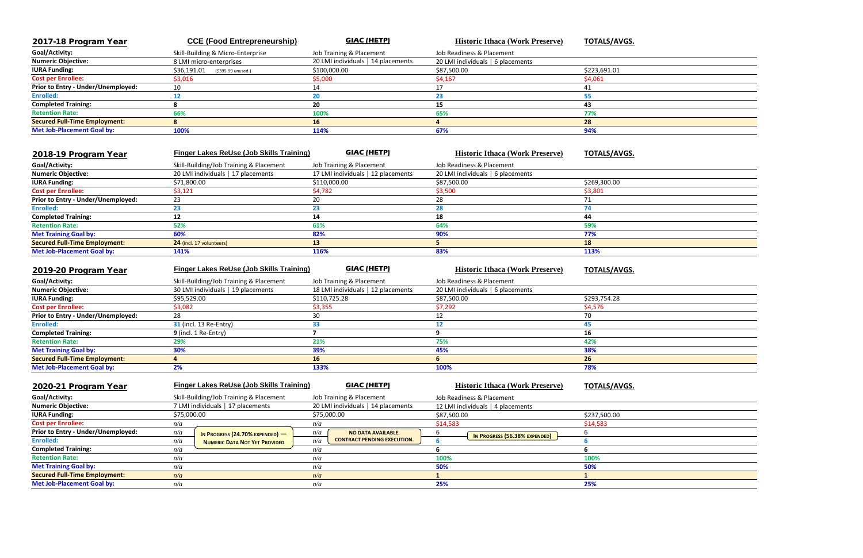| 2017-18 Program Year                 | <b>CCE (Food Entrepreneurship)</b> | <b>GIAC (HETP)</b>                 | <b>Historic Ithaca (Work Preserve)</b> | <b>TOTALS/AVGS.</b> |
|--------------------------------------|------------------------------------|------------------------------------|----------------------------------------|---------------------|
| Goal/Activity:                       | Skill-Building & Micro-Enterprise  | Job Training & Placement           | Job Readiness & Placement              |                     |
| <b>Numeric Objective:</b>            | 8 LMI micro-enterprises            | 20 LMI individuals   14 placements | 20 LMI individuals   6 placements      |                     |
| <b>IURA Funding:</b>                 | \$36,191.01<br>(\$395.99 unused.)  | \$100,000.00                       | \$87,500.00                            | \$223,691.01        |
| <b>Cost per Enrollee:</b>            | \$3,016                            | \$5,000                            | \$4,167                                | \$4,061             |
| Prior to Entry - Under/Unemployed:   | 10                                 |                                    |                                        |                     |
| <b>Enrolled:</b>                     |                                    | 20                                 | 23                                     |                     |
| <b>Completed Training:</b>           |                                    | 20                                 | 15                                     | 43                  |
| <b>Retention Rate:</b>               | 66%                                | 100%                               | 65%                                    | 77%                 |
| <b>Secured Full-Time Employment:</b> |                                    | 16                                 |                                        | 28                  |
| <b>Met Job-Placement Goal by:</b>    | 100%                               | 114%                               | 67%                                    | 94%                 |

| 2019-20 Program Year                 | <b>Finger Lakes ReUse (Job Skills Training)</b> | <b>GIAC (HETP)</b>                 | <b>Historic Ithaca (Work Preserve)</b> | <b>TOTALS/AVGS.</b> |
|--------------------------------------|-------------------------------------------------|------------------------------------|----------------------------------------|---------------------|
| Goal/Activity:                       | Skill-Building/Job Training & Placement         | Job Training & Placement           | Job Readiness & Placement              |                     |
| <b>Numeric Objective:</b>            | 30 LMI individuals   19 placements              | 18 LMI individuals   12 placements | 20 LMI individuals   6 placements      |                     |
| <b>IURA Funding:</b>                 | \$95,529.00                                     | \$110,725.28                       | \$87,500.00                            | \$293,754.28        |
| <b>Cost per Enrollee:</b>            | \$3,082                                         | \$3,355                            | \$7,292                                | \$4,576             |
| Prior to Entry - Under/Unemployed:   | 28                                              | 30                                 |                                        | 70.                 |
| <b>Enrolled:</b>                     | <b>31</b> (incl. 13 Re-Entry)                   | 33                                 |                                        | 45                  |
| <b>Completed Training:</b>           | $9$ (incl. 1 Re-Entry)                          |                                    |                                        | 16                  |
| <b>Retention Rate:</b>               | 29%                                             | 21%                                | 75%                                    | 42%                 |
| <b>Met Training Goal by:</b>         | 30%                                             | 39%                                | 45%                                    | 38%                 |
| <b>Secured Full-Time Employment:</b> |                                                 | 16                                 | ь                                      | 26                  |
| <b>Met Job-Placement Goal by:</b>    | 2%                                              | 133%                               | 100%                                   | 78%                 |

| 2018-19 Program Year                 | <b>Finger Lakes ReUse (Job Skills Training)</b> | <b>GIAC (HETP)</b>                 | <b>Historic Ithaca (Work Preserve)</b> | <b>TOTALS/AVGS.</b> |
|--------------------------------------|-------------------------------------------------|------------------------------------|----------------------------------------|---------------------|
| Goal/Activity:                       | Skill-Building/Job Training & Placement         | Job Training & Placement           | Job Readiness & Placement              |                     |
| <b>Numeric Objective:</b>            | 20 LMI individuals   17 placements              | 17 LMI individuals   12 placements | 20 LMI individuals   6 placements      |                     |
| <b>IURA Funding:</b>                 | \$71,800.00                                     | \$110,000.00                       | \$87,500.00                            | \$269,300.00        |
| <b>Cost per Enrollee:</b>            | \$3,121                                         | \$4,782                            | \$3,500                                | \$3,801             |
| Prior to Entry - Under/Unemployed:   | 23                                              | 20                                 | 28                                     |                     |
| <b>Enrolled:</b>                     | 23                                              | 23                                 | 28                                     |                     |
| <b>Completed Training:</b>           | 12                                              | 14                                 | 18                                     | 44                  |
| <b>Retention Rate:</b>               | 52%                                             | 61%                                | 64%                                    | 59%                 |
| <b>Met Training Goal by:</b>         | 60%                                             | 82%                                | 90%                                    | 77%                 |
| <b>Secured Full-Time Employment:</b> | 24 (incl. 17 volunteers)                        | 13                                 |                                        | 18                  |
| <b>Met Job-Placement Goal by:</b>    | 141%                                            | 116%                               | 83%                                    | 113%                |
|                                      |                                                 |                                    |                                        |                     |

| 2020-21 Program Year                 | <b>Finger Lakes ReUse (Job Skills Training)</b> | GIAC (HETP)                               | <b>Historic Ithaca (Work Preserve)</b> | <b>TOTALS/AVGS.</b> |
|--------------------------------------|-------------------------------------------------|-------------------------------------------|----------------------------------------|---------------------|
| Goal/Activity:                       | Skill-Building/Job Training & Placement         | Job Training & Placement                  | Job Readiness & Placement              |                     |
| <b>Numeric Objective:</b>            | 7 LMI individuals   17 placements               | 20 LMI individuals   14 placements        | 12 LMI individuals   4 placements      |                     |
| <b>IURA Funding:</b>                 | \$75,000.00                                     | \$75,000.00                               | \$87,500.00                            | \$237,500.00        |
| <b>Cost per Enrollee:</b>            | n/a                                             | n/a                                       | \$14,583                               | \$14,583            |
| Prior to Entry - Under/Unemployed:   | n/a<br>In Progress (24.70% Expended) $-$        | n/a<br>NO DATA AVAILABLE.                 | n<br>IN PROGRESS (56.38% EXPENDED)     |                     |
| <b>Enrolled:</b>                     | n/a<br><b>NUMERIC DATA NOT YET PROVIDED</b>     | <b>CONTRACT PENDING EXECUTION.</b><br>n/a |                                        |                     |
| <b>Completed Training:</b>           | n/a                                             | n/a                                       | n                                      |                     |
| <b>Retention Rate:</b>               | n/a                                             | n/a                                       | 100%                                   | 100%                |
| <b>Met Training Goal by:</b>         | n/a                                             | n/a                                       | 50%                                    | 50%                 |
| <b>Secured Full-Time Employment:</b> | n/a                                             | n/a                                       |                                        |                     |
| <b>Met Job-Placement Goal by:</b>    | n/a                                             | n/a                                       | 25%                                    | 25%                 |

| $\overline{\phantom{a}}$ |  |
|--------------------------|--|
|                          |  |
|                          |  |
|                          |  |
|                          |  |
|                          |  |
|                          |  |
|                          |  |
|                          |  |
|                          |  |
|                          |  |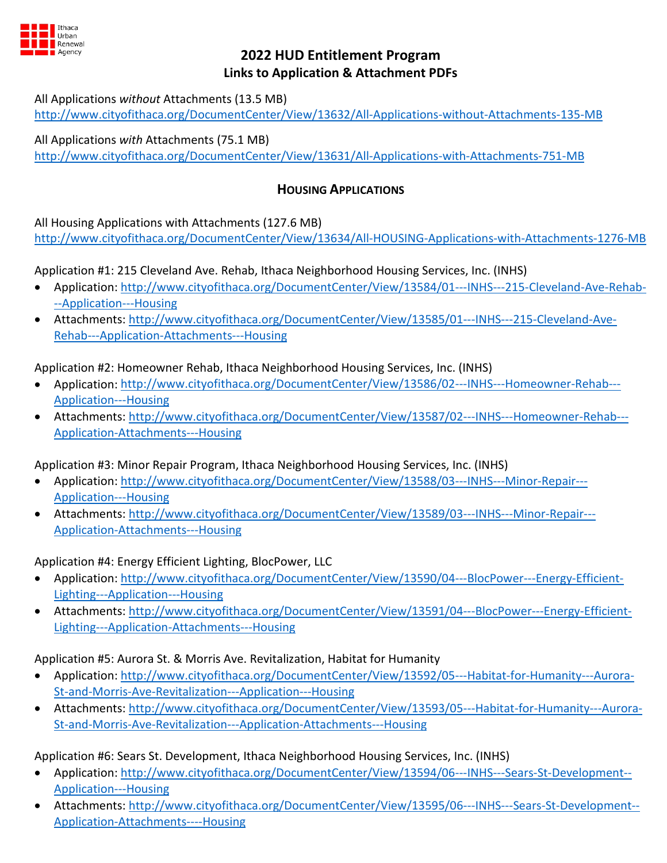

# **2022 HUD Entitlement Program Links to Application & Attachment PDFs**

All Applications *without* Attachments (13.5 MB)

<http://www.cityofithaca.org/DocumentCenter/View/13632/All-Applications-without-Attachments-135-MB>

All Applications *with* Attachments (75.1 MB) <http://www.cityofithaca.org/DocumentCenter/View/13631/All-Applications-with-Attachments-751-MB>

# **HOUSING APPLICATIONS**

All Housing Applications with Attachments (127.6 MB)

<http://www.cityofithaca.org/DocumentCenter/View/13634/All-HOUSING-Applications-with-Attachments-1276-MB>

Application #1: 215 Cleveland Ave. Rehab, Ithaca Neighborhood Housing Services, Inc. (INHS)

- Application[: http://www.cityofithaca.org/DocumentCenter/View/13584/01---INHS---215-Cleveland-Ave-Rehab-](http://www.cityofithaca.org/DocumentCenter/View/13584/01---INHS---215-Cleveland-Ave-Rehab---Application---Housing) [--Application---Housing](http://www.cityofithaca.org/DocumentCenter/View/13584/01---INHS---215-Cleveland-Ave-Rehab---Application---Housing)
- Attachments: [http://www.cityofithaca.org/DocumentCenter/View/13585/01---INHS---215-Cleveland-Ave-](http://www.cityofithaca.org/DocumentCenter/View/13585/01---INHS---215-Cleveland-Ave-Rehab---Application-Attachments---Housing)[Rehab---Application-Attachments---Housing](http://www.cityofithaca.org/DocumentCenter/View/13585/01---INHS---215-Cleveland-Ave-Rehab---Application-Attachments---Housing)

Application #2: Homeowner Rehab, Ithaca Neighborhood Housing Services, Inc. (INHS)

- Application[: http://www.cityofithaca.org/DocumentCenter/View/13586/02---INHS---Homeowner-Rehab---](http://www.cityofithaca.org/DocumentCenter/View/13586/02---INHS---Homeowner-Rehab---Application---Housing) [Application---Housing](http://www.cityofithaca.org/DocumentCenter/View/13586/02---INHS---Homeowner-Rehab---Application---Housing)
- Attachments: [http://www.cityofithaca.org/DocumentCenter/View/13587/02---INHS---Homeowner-Rehab---](http://www.cityofithaca.org/DocumentCenter/View/13587/02---INHS---Homeowner-Rehab---Application-Attachments---Housing) [Application-Attachments---Housing](http://www.cityofithaca.org/DocumentCenter/View/13587/02---INHS---Homeowner-Rehab---Application-Attachments---Housing)

Application #3: Minor Repair Program, Ithaca Neighborhood Housing Services, Inc. (INHS)

- Application[: http://www.cityofithaca.org/DocumentCenter/View/13588/03---INHS---Minor-Repair---](http://www.cityofithaca.org/DocumentCenter/View/13588/03---INHS---Minor-Repair---Application---Housing) [Application---Housing](http://www.cityofithaca.org/DocumentCenter/View/13588/03---INHS---Minor-Repair---Application---Housing)
- Attachments: [http://www.cityofithaca.org/DocumentCenter/View/13589/03---INHS---Minor-Repair---](http://www.cityofithaca.org/DocumentCenter/View/13589/03---INHS---Minor-Repair---Application-Attachments---Housing) [Application-Attachments---Housing](http://www.cityofithaca.org/DocumentCenter/View/13589/03---INHS---Minor-Repair---Application-Attachments---Housing)

Application #4: Energy Efficient Lighting, BlocPower, LLC

- Application[: http://www.cityofithaca.org/DocumentCenter/View/13590/04---BlocPower---Energy-Efficient-](http://www.cityofithaca.org/DocumentCenter/View/13590/04---BlocPower---Energy-Efficient-Lighting---Application---Housing)[Lighting---Application---Housing](http://www.cityofithaca.org/DocumentCenter/View/13590/04---BlocPower---Energy-Efficient-Lighting---Application---Housing)
- Attachments: [http://www.cityofithaca.org/DocumentCenter/View/13591/04---BlocPower---Energy-Efficient-](http://www.cityofithaca.org/DocumentCenter/View/13591/04---BlocPower---Energy-Efficient-Lighting---Application-Attachments---Housing)[Lighting---Application-Attachments---Housing](http://www.cityofithaca.org/DocumentCenter/View/13591/04---BlocPower---Energy-Efficient-Lighting---Application-Attachments---Housing)

Application #5: Aurora St. & Morris Ave. Revitalization, Habitat for Humanity

- Application[: http://www.cityofithaca.org/DocumentCenter/View/13592/05---Habitat-for-Humanity---Aurora-](http://www.cityofithaca.org/DocumentCenter/View/13592/05---Habitat-for-Humanity---Aurora-St-and-Morris-Ave-Revitalization---Application---Housing)[St-and-Morris-Ave-Revitalization---Application---Housing](http://www.cityofithaca.org/DocumentCenter/View/13592/05---Habitat-for-Humanity---Aurora-St-and-Morris-Ave-Revitalization---Application---Housing)
- Attachments: [http://www.cityofithaca.org/DocumentCenter/View/13593/05---Habitat-for-Humanity---Aurora-](http://www.cityofithaca.org/DocumentCenter/View/13593/05---Habitat-for-Humanity---Aurora-St-and-Morris-Ave-Revitalization---Application-Attachments---Housing)[St-and-Morris-Ave-Revitalization---Application-Attachments---Housing](http://www.cityofithaca.org/DocumentCenter/View/13593/05---Habitat-for-Humanity---Aurora-St-and-Morris-Ave-Revitalization---Application-Attachments---Housing)

Application #6: Sears St. Development, Ithaca Neighborhood Housing Services, Inc. (INHS)

- Application[: http://www.cityofithaca.org/DocumentCenter/View/13594/06---INHS---Sears-St-Development--](http://www.cityofithaca.org/DocumentCenter/View/13594/06---INHS---Sears-St-Development--Application---Housing) [Application---Housing](http://www.cityofithaca.org/DocumentCenter/View/13594/06---INHS---Sears-St-Development--Application---Housing)
- Attachments: [http://www.cityofithaca.org/DocumentCenter/View/13595/06---INHS---Sears-St-Development--](http://www.cityofithaca.org/DocumentCenter/View/13595/06---INHS---Sears-St-Development--Application-Attachments----Housing) [Application-Attachments----Housing](http://www.cityofithaca.org/DocumentCenter/View/13595/06---INHS---Sears-St-Development--Application-Attachments----Housing)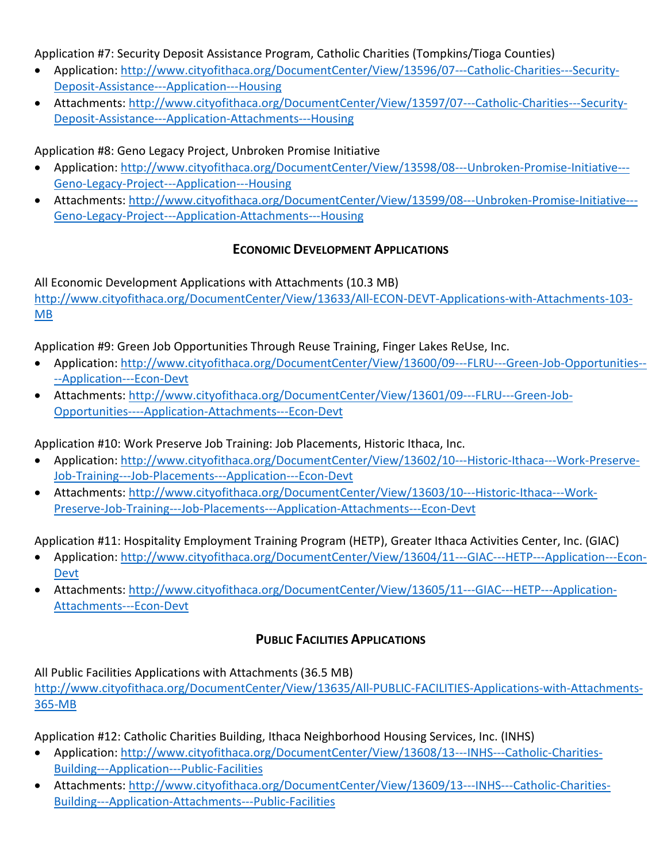Application #7: Security Deposit Assistance Program, Catholic Charities (Tompkins/Tioga Counties)

- Application[: http://www.cityofithaca.org/DocumentCenter/View/13596/07---Catholic-Charities---Security-](http://www.cityofithaca.org/DocumentCenter/View/13596/07---Catholic-Charities---Security-Deposit-Assistance---Application---Housing)[Deposit-Assistance---Application---Housing](http://www.cityofithaca.org/DocumentCenter/View/13596/07---Catholic-Charities---Security-Deposit-Assistance---Application---Housing)
- Attachments: [http://www.cityofithaca.org/DocumentCenter/View/13597/07---Catholic-Charities---Security-](http://www.cityofithaca.org/DocumentCenter/View/13597/07---Catholic-Charities---Security-Deposit-Assistance---Application-Attachments---Housing)[Deposit-Assistance---Application-Attachments---Housing](http://www.cityofithaca.org/DocumentCenter/View/13597/07---Catholic-Charities---Security-Deposit-Assistance---Application-Attachments---Housing)

Application #8: Geno Legacy Project, Unbroken Promise Initiative

- Application[: http://www.cityofithaca.org/DocumentCenter/View/13598/08---Unbroken-Promise-Initiative---](http://www.cityofithaca.org/DocumentCenter/View/13598/08---Unbroken-Promise-Initiative---Geno-Legacy-Project---Application---Housing) [Geno-Legacy-Project---Application---Housing](http://www.cityofithaca.org/DocumentCenter/View/13598/08---Unbroken-Promise-Initiative---Geno-Legacy-Project---Application---Housing)
- Attachments: [http://www.cityofithaca.org/DocumentCenter/View/13599/08---Unbroken-Promise-Initiative---](http://www.cityofithaca.org/DocumentCenter/View/13599/08---Unbroken-Promise-Initiative---Geno-Legacy-Project---Application-Attachments---Housing) [Geno-Legacy-Project---Application-Attachments---Housing](http://www.cityofithaca.org/DocumentCenter/View/13599/08---Unbroken-Promise-Initiative---Geno-Legacy-Project---Application-Attachments---Housing)

# **ECONOMIC DEVELOPMENT APPLICATIONS**

All Economic Development Applications with Attachments (10.3 MB) [http://www.cityofithaca.org/DocumentCenter/View/13633/All-ECON-DEVT-Applications-with-Attachments-103-](http://www.cityofithaca.org/DocumentCenter/View/13633/All-ECON-DEVT-Applications-with-Attachments-103-MB) [MB](http://www.cityofithaca.org/DocumentCenter/View/13633/All-ECON-DEVT-Applications-with-Attachments-103-MB)

Application #9: Green Job Opportunities Through Reuse Training, Finger Lakes ReUse, Inc.

- Application[: http://www.cityofithaca.org/DocumentCenter/View/13600/09---FLRU---Green-Job-Opportunities--](http://www.cityofithaca.org/DocumentCenter/View/13600/09---FLRU---Green-Job-Opportunities----Application---Econ-Devt) [--Application---Econ-Devt](http://www.cityofithaca.org/DocumentCenter/View/13600/09---FLRU---Green-Job-Opportunities----Application---Econ-Devt)
- Attachments: [http://www.cityofithaca.org/DocumentCenter/View/13601/09---FLRU---Green-Job-](http://www.cityofithaca.org/DocumentCenter/View/13601/09---FLRU---Green-Job-Opportunities----Application-Attachments---Econ-Devt)[Opportunities----Application-Attachments---Econ-Devt](http://www.cityofithaca.org/DocumentCenter/View/13601/09---FLRU---Green-Job-Opportunities----Application-Attachments---Econ-Devt)

Application #10: Work Preserve Job Training: Job Placements, Historic Ithaca, Inc.

- Application[: http://www.cityofithaca.org/DocumentCenter/View/13602/10---Historic-Ithaca---Work-Preserve-](http://www.cityofithaca.org/DocumentCenter/View/13602/10---Historic-Ithaca---Work-Preserve-Job-Training---Job-Placements---Application---Econ-Devt)[Job-Training---Job-Placements---Application---Econ-Devt](http://www.cityofithaca.org/DocumentCenter/View/13602/10---Historic-Ithaca---Work-Preserve-Job-Training---Job-Placements---Application---Econ-Devt)
- Attachments: [http://www.cityofithaca.org/DocumentCenter/View/13603/10---Historic-Ithaca---Work-](http://www.cityofithaca.org/DocumentCenter/View/13603/10---Historic-Ithaca---Work-Preserve-Job-Training---Job-Placements---Application-Attachments---Econ-Devt)[Preserve-Job-Training---Job-Placements---Application-Attachments---Econ-Devt](http://www.cityofithaca.org/DocumentCenter/View/13603/10---Historic-Ithaca---Work-Preserve-Job-Training---Job-Placements---Application-Attachments---Econ-Devt)

Application #11: Hospitality Employment Training Program (HETP), Greater Ithaca Activities Center, Inc. (GIAC)

- Application: [http://www.cityofithaca.org/DocumentCenter/View/13604/11---GIAC---HETP---Application---Econ-](http://www.cityofithaca.org/DocumentCenter/View/13604/11---GIAC---HETP---Application---Econ-Devt)[Devt](http://www.cityofithaca.org/DocumentCenter/View/13604/11---GIAC---HETP---Application---Econ-Devt)
- Attachments: [http://www.cityofithaca.org/DocumentCenter/View/13605/11---GIAC---HETP---Application-](http://www.cityofithaca.org/DocumentCenter/View/13605/11---GIAC---HETP---Application-Attachments---Econ-Devt)[Attachments---Econ-Devt](http://www.cityofithaca.org/DocumentCenter/View/13605/11---GIAC---HETP---Application-Attachments---Econ-Devt)

# **PUBLIC FACILITIES APPLICATIONS**

All Public Facilities Applications with Attachments (36.5 MB)

[http://www.cityofithaca.org/DocumentCenter/View/13635/All-PUBLIC-FACILITIES-Applications-with-Attachments-](http://www.cityofithaca.org/DocumentCenter/View/13635/All-PUBLIC-FACILITIES-Applications-with-Attachments-365-MB)[365-MB](http://www.cityofithaca.org/DocumentCenter/View/13635/All-PUBLIC-FACILITIES-Applications-with-Attachments-365-MB)

Application #12: Catholic Charities Building, Ithaca Neighborhood Housing Services, Inc. (INHS)

- Application[: http://www.cityofithaca.org/DocumentCenter/View/13608/13---INHS---Catholic-Charities-](http://www.cityofithaca.org/DocumentCenter/View/13608/13---INHS---Catholic-Charities-Building---Application---Public-Facilities)[Building---Application---Public-Facilities](http://www.cityofithaca.org/DocumentCenter/View/13608/13---INHS---Catholic-Charities-Building---Application---Public-Facilities)
- Attachments: [http://www.cityofithaca.org/DocumentCenter/View/13609/13---INHS---Catholic-Charities-](http://www.cityofithaca.org/DocumentCenter/View/13609/13---INHS---Catholic-Charities-Building---Application-Attachments---Public-Facilities)[Building---Application-Attachments---Public-Facilities](http://www.cityofithaca.org/DocumentCenter/View/13609/13---INHS---Catholic-Charities-Building---Application-Attachments---Public-Facilities)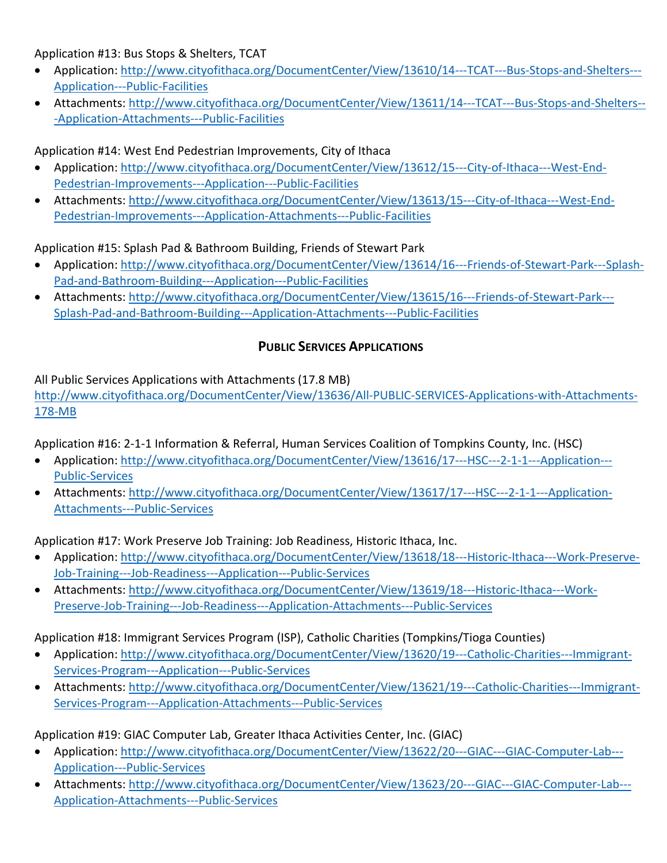Application #13: Bus Stops & Shelters, TCAT

- Application[: http://www.cityofithaca.org/DocumentCenter/View/13610/14---TCAT---Bus-Stops-and-Shelters---](http://www.cityofithaca.org/DocumentCenter/View/13610/14---TCAT---Bus-Stops-and-Shelters---Application---Public-Facilities) [Application---Public-Facilities](http://www.cityofithaca.org/DocumentCenter/View/13610/14---TCAT---Bus-Stops-and-Shelters---Application---Public-Facilities)
- Attachments: [http://www.cityofithaca.org/DocumentCenter/View/13611/14---TCAT---Bus-Stops-and-Shelters--](http://www.cityofithaca.org/DocumentCenter/View/13611/14---TCAT---Bus-Stops-and-Shelters---Application-Attachments---Public-Facilities) [-Application-Attachments---Public-Facilities](http://www.cityofithaca.org/DocumentCenter/View/13611/14---TCAT---Bus-Stops-and-Shelters---Application-Attachments---Public-Facilities)

Application #14: West End Pedestrian Improvements, City of Ithaca

- Application[: http://www.cityofithaca.org/DocumentCenter/View/13612/15---City-of-Ithaca---West-End-](http://www.cityofithaca.org/DocumentCenter/View/13612/15---City-of-Ithaca---West-End-Pedestrian-Improvements---Application---Public-Facilities)[Pedestrian-Improvements---Application---Public-Facilities](http://www.cityofithaca.org/DocumentCenter/View/13612/15---City-of-Ithaca---West-End-Pedestrian-Improvements---Application---Public-Facilities)
- Attachments: [http://www.cityofithaca.org/DocumentCenter/View/13613/15---City-of-Ithaca---West-End-](http://www.cityofithaca.org/DocumentCenter/View/13613/15---City-of-Ithaca---West-End-Pedestrian-Improvements---Application-Attachments---Public-Facilities)[Pedestrian-Improvements---Application-Attachments---Public-Facilities](http://www.cityofithaca.org/DocumentCenter/View/13613/15---City-of-Ithaca---West-End-Pedestrian-Improvements---Application-Attachments---Public-Facilities)

Application #15: Splash Pad & Bathroom Building, Friends of Stewart Park

- Application[: http://www.cityofithaca.org/DocumentCenter/View/13614/16---Friends-of-Stewart-Park---Splash-](http://www.cityofithaca.org/DocumentCenter/View/13614/16---Friends-of-Stewart-Park---Splash-Pad-and-Bathroom-Building---Application---Public-Facilities)[Pad-and-Bathroom-Building---Application---Public-Facilities](http://www.cityofithaca.org/DocumentCenter/View/13614/16---Friends-of-Stewart-Park---Splash-Pad-and-Bathroom-Building---Application---Public-Facilities)
- Attachments: [http://www.cityofithaca.org/DocumentCenter/View/13615/16---Friends-of-Stewart-Park---](http://www.cityofithaca.org/DocumentCenter/View/13615/16---Friends-of-Stewart-Park---Splash-Pad-and-Bathroom-Building---Application-Attachments---Public-Facilities) [Splash-Pad-and-Bathroom-Building---Application-Attachments---Public-Facilities](http://www.cityofithaca.org/DocumentCenter/View/13615/16---Friends-of-Stewart-Park---Splash-Pad-and-Bathroom-Building---Application-Attachments---Public-Facilities)

# **PUBLIC SERVICES APPLICATIONS**

All Public Services Applications with Attachments (17.8 MB)

[http://www.cityofithaca.org/DocumentCenter/View/13636/All-PUBLIC-SERVICES-Applications-with-Attachments-](http://www.cityofithaca.org/DocumentCenter/View/13636/All-PUBLIC-SERVICES-Applications-with-Attachments-178-MB)[178-MB](http://www.cityofithaca.org/DocumentCenter/View/13636/All-PUBLIC-SERVICES-Applications-with-Attachments-178-MB)

Application #16: 2-1-1 Information & Referral, Human Services Coalition of Tompkins County, Inc. (HSC)

- Application[: http://www.cityofithaca.org/DocumentCenter/View/13616/17---HSC---2-1-1---Application---](http://www.cityofithaca.org/DocumentCenter/View/13616/17---HSC---2-1-1---Application---Public-Services) [Public-Services](http://www.cityofithaca.org/DocumentCenter/View/13616/17---HSC---2-1-1---Application---Public-Services)
- Attachments: [http://www.cityofithaca.org/DocumentCenter/View/13617/17---HSC---2-1-1---Application-](http://www.cityofithaca.org/DocumentCenter/View/13617/17---HSC---2-1-1---Application-Attachments---Public-Services)[Attachments---Public-Services](http://www.cityofithaca.org/DocumentCenter/View/13617/17---HSC---2-1-1---Application-Attachments---Public-Services)

Application #17: Work Preserve Job Training: Job Readiness, Historic Ithaca, Inc.

- Application[: http://www.cityofithaca.org/DocumentCenter/View/13618/18---Historic-Ithaca---Work-Preserve-](http://www.cityofithaca.org/DocumentCenter/View/13618/18---Historic-Ithaca---Work-Preserve-Job-Training---Job-Readiness---Application---Public-Services)[Job-Training---Job-Readiness---Application---Public-Services](http://www.cityofithaca.org/DocumentCenter/View/13618/18---Historic-Ithaca---Work-Preserve-Job-Training---Job-Readiness---Application---Public-Services)
- Attachments: [http://www.cityofithaca.org/DocumentCenter/View/13619/18---Historic-Ithaca---Work-](http://www.cityofithaca.org/DocumentCenter/View/13619/18---Historic-Ithaca---Work-Preserve-Job-Training---Job-Readiness---Application-Attachments---Public-Services)[Preserve-Job-Training---Job-Readiness---Application-Attachments---Public-Services](http://www.cityofithaca.org/DocumentCenter/View/13619/18---Historic-Ithaca---Work-Preserve-Job-Training---Job-Readiness---Application-Attachments---Public-Services)

Application #18: Immigrant Services Program (ISP), Catholic Charities (Tompkins/Tioga Counties)

- Application[: http://www.cityofithaca.org/DocumentCenter/View/13620/19---Catholic-Charities---Immigrant-](http://www.cityofithaca.org/DocumentCenter/View/13620/19---Catholic-Charities---Immigrant-Services-Program---Application---Public-Services)[Services-Program---Application---Public-Services](http://www.cityofithaca.org/DocumentCenter/View/13620/19---Catholic-Charities---Immigrant-Services-Program---Application---Public-Services)
- Attachments: [http://www.cityofithaca.org/DocumentCenter/View/13621/19---Catholic-Charities---Immigrant-](http://www.cityofithaca.org/DocumentCenter/View/13621/19---Catholic-Charities---Immigrant-Services-Program---Application-Attachments---Public-Services)[Services-Program---Application-Attachments---Public-Services](http://www.cityofithaca.org/DocumentCenter/View/13621/19---Catholic-Charities---Immigrant-Services-Program---Application-Attachments---Public-Services)

Application #19: GIAC Computer Lab, Greater Ithaca Activities Center, Inc. (GIAC)

- Application[: http://www.cityofithaca.org/DocumentCenter/View/13622/20---GIAC---GIAC-Computer-Lab---](http://www.cityofithaca.org/DocumentCenter/View/13622/20---GIAC---GIAC-Computer-Lab---Application---Public-Services) [Application---Public-Services](http://www.cityofithaca.org/DocumentCenter/View/13622/20---GIAC---GIAC-Computer-Lab---Application---Public-Services)
- Attachments: [http://www.cityofithaca.org/DocumentCenter/View/13623/20---GIAC---GIAC-Computer-Lab---](http://www.cityofithaca.org/DocumentCenter/View/13623/20---GIAC---GIAC-Computer-Lab---Application-Attachments---Public-Services) [Application-Attachments---Public-Services](http://www.cityofithaca.org/DocumentCenter/View/13623/20---GIAC---GIAC-Computer-Lab---Application-Attachments---Public-Services)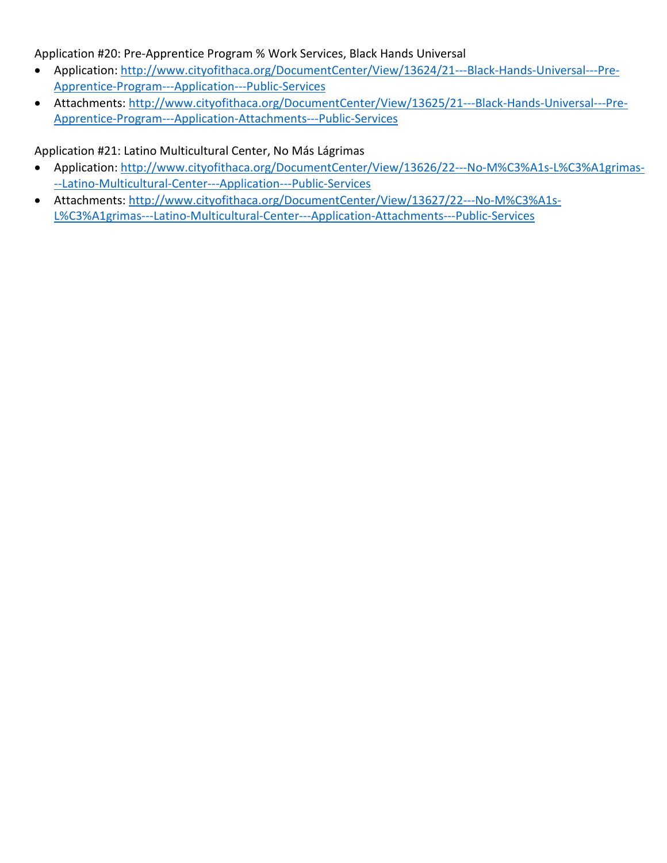Application #20: Pre-Apprentice Program % Work Services, Black Hands Universal

- Application[: http://www.cityofithaca.org/DocumentCenter/View/13624/21---Black-Hands-Universal---Pre-](http://www.cityofithaca.org/DocumentCenter/View/13624/21---Black-Hands-Universal---Pre-Apprentice-Program---Application---Public-Services)[Apprentice-Program---Application---Public-Services](http://www.cityofithaca.org/DocumentCenter/View/13624/21---Black-Hands-Universal---Pre-Apprentice-Program---Application---Public-Services)
- Attachments: [http://www.cityofithaca.org/DocumentCenter/View/13625/21---Black-Hands-Universal---Pre-](http://www.cityofithaca.org/DocumentCenter/View/13625/21---Black-Hands-Universal---Pre-Apprentice-Program---Application-Attachments---Public-Services)[Apprentice-Program---Application-Attachments---Public-Services](http://www.cityofithaca.org/DocumentCenter/View/13625/21---Black-Hands-Universal---Pre-Apprentice-Program---Application-Attachments---Public-Services)

Application #21: Latino Multicultural Center, No Más Lágrimas

- Application[: http://www.cityofithaca.org/DocumentCenter/View/13626/22---No-M%C3%A1s-L%C3%A1grimas-](http://www.cityofithaca.org/DocumentCenter/View/13626/22---No-M%C3%A1s-L%C3%A1grimas---Latino-Multicultural-Center---Application---Public-Services) [--Latino-Multicultural-Center---Application---Public-Services](http://www.cityofithaca.org/DocumentCenter/View/13626/22---No-M%C3%A1s-L%C3%A1grimas---Latino-Multicultural-Center---Application---Public-Services)
- Attachments: [http://www.cityofithaca.org/DocumentCenter/View/13627/22---No-M%C3%A1s-](http://www.cityofithaca.org/DocumentCenter/View/13627/22---No-M%C3%A1s-L%C3%A1grimas---Latino-Multicultural-Center---Application-Attachments---Public-Services)[L%C3%A1grimas---Latino-Multicultural-Center---Application-Attachments---Public-Services](http://www.cityofithaca.org/DocumentCenter/View/13627/22---No-M%C3%A1s-L%C3%A1grimas---Latino-Multicultural-Center---Application-Attachments---Public-Services)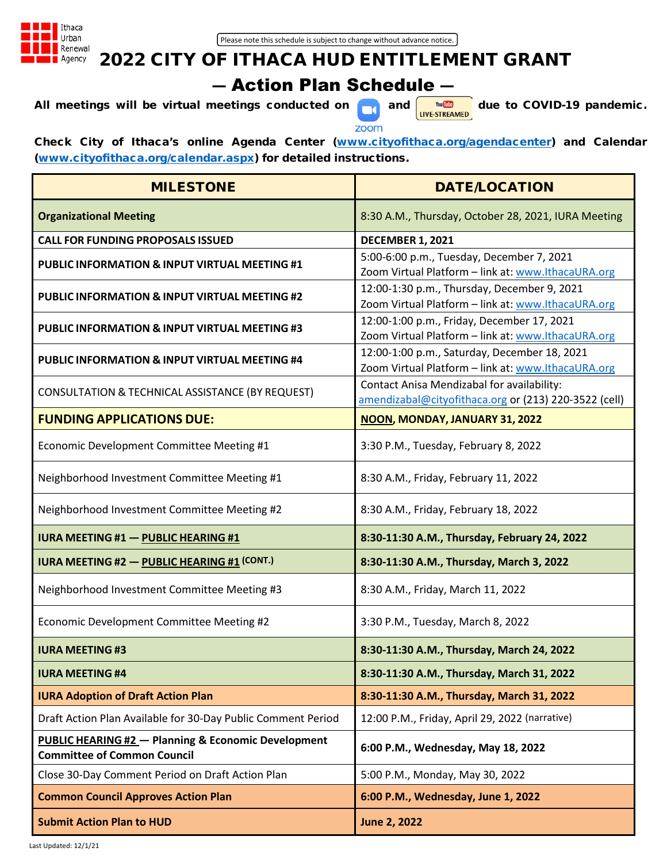

# 2022 CITY OF ITHACA HUD ENTITLEMENT GRANT ― Action Plan Schedule ―

All meetings will be virtual meetings conducted on  $\begin{bmatrix} \text{out } & \text{out } \\ \text{out } & \text{out } \end{bmatrix}$  due to COVID-19 pandemic.



Check City of Ithaca's online Agenda Center [\(www.cityofithaca.org/agendacenter\)](http://www.cityofithaca.org/agendacenter) and Calendar [\(www.cityofithaca.org/calendar.aspx\)](http://www.cityofithaca.org/calendar.aspx) for detailed instructions.

| <b>MILESTONE</b>                                                                                     | <b>DATE/LOCATION</b>                                                                                |
|------------------------------------------------------------------------------------------------------|-----------------------------------------------------------------------------------------------------|
| <b>Organizational Meeting</b>                                                                        | 8:30 A.M., Thursday, October 28, 2021, IURA Meeting                                                 |
| <b>CALL FOR FUNDING PROPOSALS ISSUED</b>                                                             | <b>DECEMBER 1, 2021</b>                                                                             |
| <b>PUBLIC INFORMATION &amp; INPUT VIRTUAL MEETING #1</b>                                             | 5:00-6:00 p.m., Tuesday, December 7, 2021<br>Zoom Virtual Platform - link at: www.IthacaURA.org     |
| <b>PUBLIC INFORMATION &amp; INPUT VIRTUAL MEETING #2</b>                                             | 12:00-1:30 p.m., Thursday, December 9, 2021<br>Zoom Virtual Platform - link at: www.IthacaURA.org   |
| <b>PUBLIC INFORMATION &amp; INPUT VIRTUAL MEETING #3</b>                                             | 12:00-1:00 p.m., Friday, December 17, 2021<br>Zoom Virtual Platform - link at: www.IthacaURA.org    |
| <b>PUBLIC INFORMATION &amp; INPUT VIRTUAL MEETING #4</b>                                             | 12:00-1:00 p.m., Saturday, December 18, 2021<br>Zoom Virtual Platform - link at: www.lthacaURA.org  |
| CONSULTATION & TECHNICAL ASSISTANCE (BY REQUEST)                                                     | Contact Anisa Mendizabal for availability:<br>amendizabal@cityofithaca.org or (213) 220-3522 (cell) |
| <b>FUNDING APPLICATIONS DUE:</b>                                                                     | NOON, MONDAY, JANUARY 31, 2022                                                                      |
| Economic Development Committee Meeting #1                                                            | 3:30 P.M., Tuesday, February 8, 2022                                                                |
| Neighborhood Investment Committee Meeting #1                                                         | 8:30 A.M., Friday, February 11, 2022                                                                |
| Neighborhood Investment Committee Meeting #2                                                         | 8:30 A.M., Friday, February 18, 2022                                                                |
| <b>IURA MEETING #1 - PUBLIC HEARING #1</b>                                                           | 8:30-11:30 A.M., Thursday, February 24, 2022                                                        |
| <b>IURA MEETING #2 - PUBLIC HEARING #1 (CONT.)</b>                                                   | 8:30-11:30 A.M., Thursday, March 3, 2022                                                            |
| Neighborhood Investment Committee Meeting #3                                                         | 8:30 A.M., Friday, March 11, 2022                                                                   |
| Economic Development Committee Meeting #2                                                            | 3:30 P.M., Tuesday, March 8, 2022                                                                   |
| <b>IURA MEETING #3</b>                                                                               | 8:30-11:30 A.M., Thursday, March 24, 2022                                                           |
| <b>IURA MEETING #4</b>                                                                               | 8:30-11:30 A.M., Thursday, March 31, 2022                                                           |
| <b>IURA Adoption of Draft Action Plan</b>                                                            | 8:30-11:30 A.M., Thursday, March 31, 2022                                                           |
| Draft Action Plan Available for 30-Day Public Comment Period                                         | 12:00 P.M., Friday, April 29, 2022 (narrative)                                                      |
| <b>PUBLIC HEARING #2 - Planning &amp; Economic Development</b><br><b>Committee of Common Council</b> | 6:00 P.M., Wednesday, May 18, 2022                                                                  |
| Close 30-Day Comment Period on Draft Action Plan                                                     | 5:00 P.M., Monday, May 30, 2022                                                                     |
| <b>Common Council Approves Action Plan</b>                                                           | 6:00 P.M., Wednesday, June 1, 2022                                                                  |
| <b>Submit Action Plan to HUD</b>                                                                     | <b>June 2, 2022</b>                                                                                 |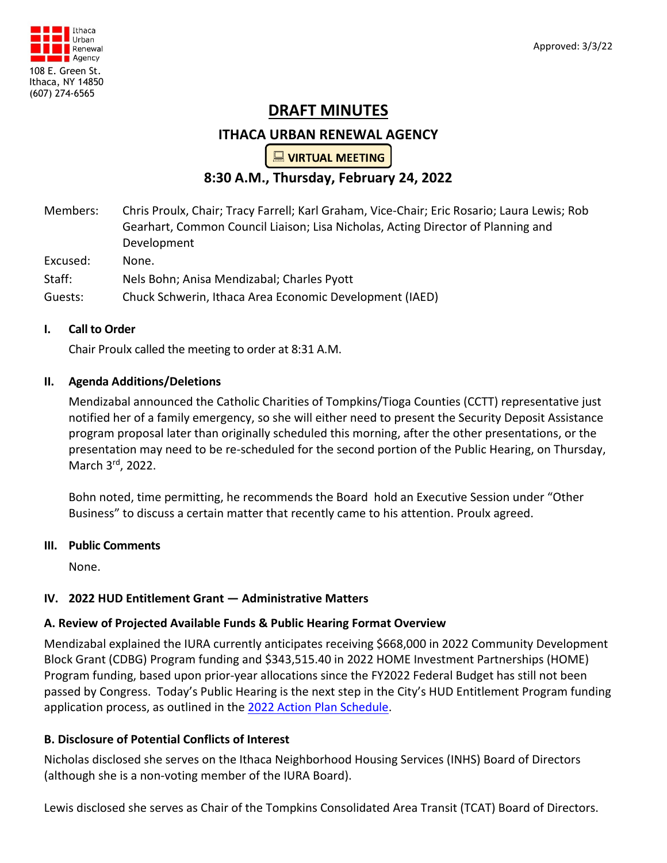

# **DRAFT MINUTES**

# **ITHACA URBAN RENEWAL AGENCY**

 $\Box$  VIRTUAL MEETING

# **8:30 A.M., Thursday, February 24, 2022**

Members: Chris Proulx, Chair; Tracy Farrell; Karl Graham, Vice-Chair; Eric Rosario; Laura Lewis; Rob Gearhart, Common Council Liaison; Lisa Nicholas, Acting Director of Planning and Development

Excused: None.

Staff: Nels Bohn; Anisa Mendizabal; Charles Pyott

Guests: Chuck Schwerin, Ithaca Area Economic Development (IAED)

#### **I. Call to Order**

Chair Proulx called the meeting to order at 8:31 A.M.

#### **II. Agenda Additions/Deletions**

Mendizabal announced the Catholic Charities of Tompkins/Tioga Counties (CCTT) representative just notified her of a family emergency, so she will either need to present the Security Deposit Assistance program proposal later than originally scheduled this morning, after the other presentations, or the presentation may need to be re-scheduled for the second portion of the Public Hearing, on Thursday, March 3rd, 2022.

Bohn noted, time permitting, he recommends the Board hold an Executive Session under "Other Business" to discuss a certain matter that recently came to his attention. Proulx agreed.

#### **III. Public Comments**

None.

## **IV. 2022 HUD Entitlement Grant ― Administrative Matters**

#### **A. Review of Projected Available Funds & Public Hearing Format Overview**

Mendizabal explained the IURA currently anticipates receiving \$668,000 in 2022 Community Development Block Grant (CDBG) Program funding and \$343,515.40 in 2022 HOME Investment Partnerships (HOME) Program funding, based upon prior-year allocations since the FY2022 Federal Budget has still not been passed by Congress. Today's Public Hearing is the next step in the City's HUD Entitlement Program funding application process, as outlined in the [2022 Action Plan Schedule.](http://www.cityofithaca.org/DocumentCenter/View/13436/2022-Action-Plan-Schedule)

## **B. Disclosure of Potential Conflicts of Interest**

Nicholas disclosed she serves on the Ithaca Neighborhood Housing Services (INHS) Board of Directors (although she is a non-voting member of the IURA Board).

Lewis disclosed she serves as Chair of the Tompkins Consolidated Area Transit (TCAT) Board of Directors.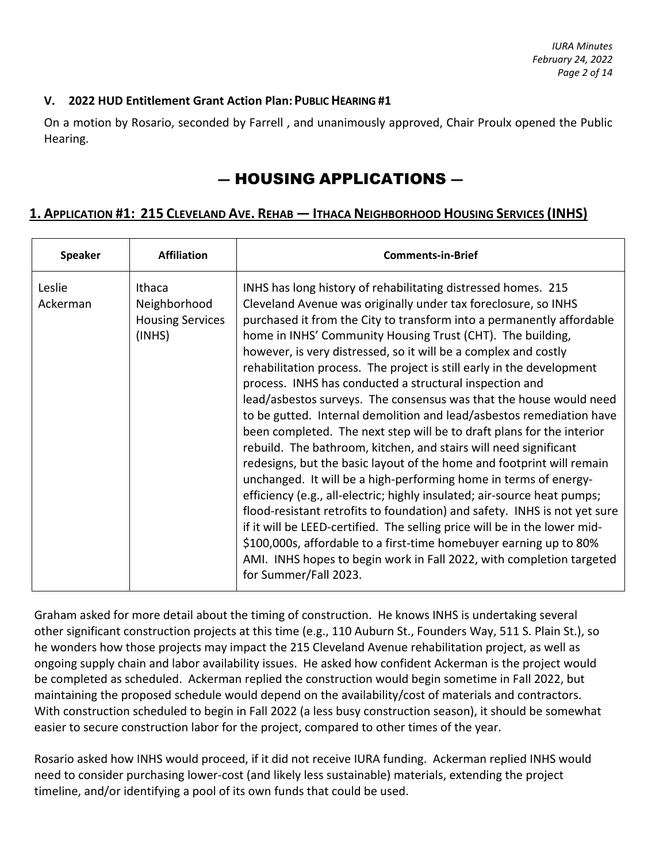#### **V. 2022 HUD Entitlement Grant Action Plan: PUBLIC HEARING #1**

On a motion by Rosario, seconded by Farrell , and unanimously approved, Chair Proulx opened the Public Hearing.

# ― HOUSING APPLICATIONS ―

# **1. APPLICATION #1: 215 CLEVELAND AVE. REHAB ― ITHACA NEIGHBORHOOD HOUSING SERVICES (INHS)**

| Speaker            | <b>Affiliation</b>                                          | <b>Comments-in-Brief</b>                                                                                                                                                                                                                                                                                                                                                                                                                                                                                                                                                                                                                                                                                                                                                                                                                                                                                                                                                                                                                                                                                                                                                                                                                                                                                                           |
|--------------------|-------------------------------------------------------------|------------------------------------------------------------------------------------------------------------------------------------------------------------------------------------------------------------------------------------------------------------------------------------------------------------------------------------------------------------------------------------------------------------------------------------------------------------------------------------------------------------------------------------------------------------------------------------------------------------------------------------------------------------------------------------------------------------------------------------------------------------------------------------------------------------------------------------------------------------------------------------------------------------------------------------------------------------------------------------------------------------------------------------------------------------------------------------------------------------------------------------------------------------------------------------------------------------------------------------------------------------------------------------------------------------------------------------|
| Leslie<br>Ackerman | Ithaca<br>Neighborhood<br><b>Housing Services</b><br>(INHS) | INHS has long history of rehabilitating distressed homes. 215<br>Cleveland Avenue was originally under tax foreclosure, so INHS<br>purchased it from the City to transform into a permanently affordable<br>home in INHS' Community Housing Trust (CHT). The building,<br>however, is very distressed, so it will be a complex and costly<br>rehabilitation process. The project is still early in the development<br>process. INHS has conducted a structural inspection and<br>lead/asbestos surveys. The consensus was that the house would need<br>to be gutted. Internal demolition and lead/asbestos remediation have<br>been completed. The next step will be to draft plans for the interior<br>rebuild. The bathroom, kitchen, and stairs will need significant<br>redesigns, but the basic layout of the home and footprint will remain<br>unchanged. It will be a high-performing home in terms of energy-<br>efficiency (e.g., all-electric; highly insulated; air-source heat pumps;<br>flood-resistant retrofits to foundation) and safety. INHS is not yet sure<br>if it will be LEED-certified. The selling price will be in the lower mid-<br>\$100,000s, affordable to a first-time homebuyer earning up to 80%<br>AMI. INHS hopes to begin work in Fall 2022, with completion targeted<br>for Summer/Fall 2023. |

Graham asked for more detail about the timing of construction. He knows INHS is undertaking several other significant construction projects at this time (e.g., 110 Auburn St., Founders Way, 511 S. Plain St.), so he wonders how those projects may impact the 215 Cleveland Avenue rehabilitation project, as well as ongoing supply chain and labor availability issues. He asked how confident Ackerman is the project would be completed as scheduled. Ackerman replied the construction would begin sometime in Fall 2022, but maintaining the proposed schedule would depend on the availability/cost of materials and contractors. With construction scheduled to begin in Fall 2022 (a less busy construction season), it should be somewhat easier to secure construction labor for the project, compared to other times of the year.

Rosario asked how INHS would proceed, if it did not receive IURA funding. Ackerman replied INHS would need to consider purchasing lower-cost (and likely less sustainable) materials, extending the project timeline, and/or identifying a pool of its own funds that could be used.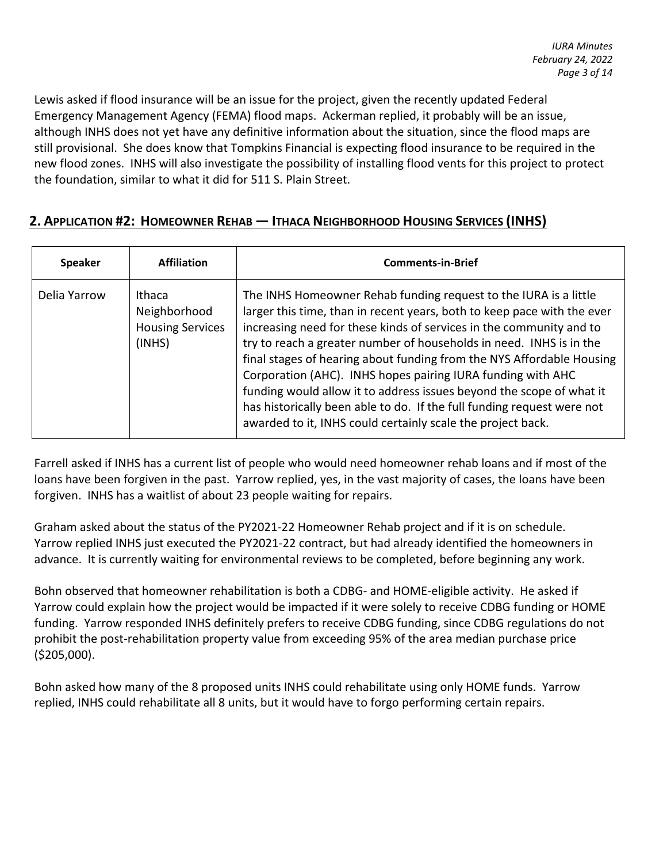Lewis asked if flood insurance will be an issue for the project, given the recently updated Federal Emergency Management Agency (FEMA) flood maps. Ackerman replied, it probably will be an issue, although INHS does not yet have any definitive information about the situation, since the flood maps are still provisional. She does know that Tompkins Financial is expecting flood insurance to be required in the new flood zones. INHS will also investigate the possibility of installing flood vents for this project to protect the foundation, similar to what it did for 511 S. Plain Street.

# **2. APPLICATION #2: HOMEOWNER REHAB ― ITHACA NEIGHBORHOOD HOUSING SERVICES (INHS)**

| <b>Speaker</b> | <b>Affiliation</b>                                          | <b>Comments-in-Brief</b>                                                                                                                                                                                                                                                                                                                                                                                                                                                                                                                                                                                                                           |
|----------------|-------------------------------------------------------------|----------------------------------------------------------------------------------------------------------------------------------------------------------------------------------------------------------------------------------------------------------------------------------------------------------------------------------------------------------------------------------------------------------------------------------------------------------------------------------------------------------------------------------------------------------------------------------------------------------------------------------------------------|
| Delia Yarrow   | Ithaca<br>Neighborhood<br><b>Housing Services</b><br>(INHS) | The INHS Homeowner Rehab funding request to the IURA is a little<br>larger this time, than in recent years, both to keep pace with the ever<br>increasing need for these kinds of services in the community and to<br>try to reach a greater number of households in need. INHS is in the<br>final stages of hearing about funding from the NYS Affordable Housing<br>Corporation (AHC). INHS hopes pairing IURA funding with AHC<br>funding would allow it to address issues beyond the scope of what it<br>has historically been able to do. If the full funding request were not<br>awarded to it, INHS could certainly scale the project back. |

Farrell asked if INHS has a current list of people who would need homeowner rehab loans and if most of the loans have been forgiven in the past. Yarrow replied, yes, in the vast majority of cases, the loans have been forgiven. INHS has a waitlist of about 23 people waiting for repairs.

Graham asked about the status of the PY2021-22 Homeowner Rehab project and if it is on schedule. Yarrow replied INHS just executed the PY2021-22 contract, but had already identified the homeowners in advance. It is currently waiting for environmental reviews to be completed, before beginning any work.

Bohn observed that homeowner rehabilitation is both a CDBG- and HOME-eligible activity. He asked if Yarrow could explain how the project would be impacted if it were solely to receive CDBG funding or HOME funding. Yarrow responded INHS definitely prefers to receive CDBG funding, since CDBG regulations do not prohibit the post-rehabilitation property value from exceeding 95% of the area median purchase price (\$205,000).

Bohn asked how many of the 8 proposed units INHS could rehabilitate using only HOME funds. Yarrow replied, INHS could rehabilitate all 8 units, but it would have to forgo performing certain repairs.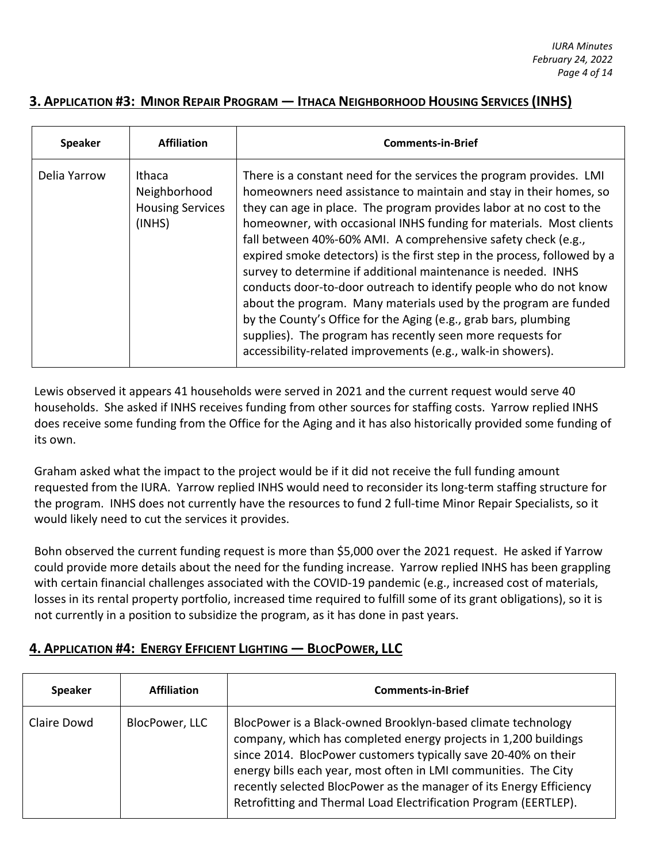# **3. APPLICATION #3: MINOR REPAIR PROGRAM ― ITHACA NEIGHBORHOOD HOUSING SERVICES (INHS)**

| <b>Speaker</b> | <b>Affiliation</b>                                          | <b>Comments-in-Brief</b>                                                                                                                                                                                                                                                                                                                                                                                                                                                                                                                                                                                                                                                                                                                                                                                                                       |
|----------------|-------------------------------------------------------------|------------------------------------------------------------------------------------------------------------------------------------------------------------------------------------------------------------------------------------------------------------------------------------------------------------------------------------------------------------------------------------------------------------------------------------------------------------------------------------------------------------------------------------------------------------------------------------------------------------------------------------------------------------------------------------------------------------------------------------------------------------------------------------------------------------------------------------------------|
| Delia Yarrow   | Ithaca<br>Neighborhood<br><b>Housing Services</b><br>(INHS) | There is a constant need for the services the program provides. LMI<br>homeowners need assistance to maintain and stay in their homes, so<br>they can age in place. The program provides labor at no cost to the<br>homeowner, with occasional INHS funding for materials. Most clients<br>fall between 40%-60% AMI. A comprehensive safety check (e.g.,<br>expired smoke detectors) is the first step in the process, followed by a<br>survey to determine if additional maintenance is needed. INHS<br>conducts door-to-door outreach to identify people who do not know<br>about the program. Many materials used by the program are funded<br>by the County's Office for the Aging (e.g., grab bars, plumbing<br>supplies). The program has recently seen more requests for<br>accessibility-related improvements (e.g., walk-in showers). |

Lewis observed it appears 41 households were served in 2021 and the current request would serve 40 households. She asked if INHS receives funding from other sources for staffing costs. Yarrow replied INHS does receive some funding from the Office for the Aging and it has also historically provided some funding of its own.

Graham asked what the impact to the project would be if it did not receive the full funding amount requested from the IURA. Yarrow replied INHS would need to reconsider its long-term staffing structure for the program. INHS does not currently have the resources to fund 2 full-time Minor Repair Specialists, so it would likely need to cut the services it provides.

Bohn observed the current funding request is more than \$5,000 over the 2021 request. He asked if Yarrow could provide more details about the need for the funding increase. Yarrow replied INHS has been grappling with certain financial challenges associated with the COVID-19 pandemic (e.g., increased cost of materials, losses in its rental property portfolio, increased time required to fulfill some of its grant obligations), so it is not currently in a position to subsidize the program, as it has done in past years.

# **4. APPLICATION #4: ENERGY EFFICIENT LIGHTING ― BLOCPOWER, LLC**

| <b>Speaker</b> | <b>Affiliation</b> | <b>Comments-in-Brief</b>                                                                                                                                                                                                                                                                                                                                                                                        |
|----------------|--------------------|-----------------------------------------------------------------------------------------------------------------------------------------------------------------------------------------------------------------------------------------------------------------------------------------------------------------------------------------------------------------------------------------------------------------|
| Claire Dowd    | BlocPower, LLC     | BlocPower is a Black-owned Brooklyn-based climate technology<br>company, which has completed energy projects in 1,200 buildings<br>since 2014. BlocPower customers typically save 20-40% on their<br>energy bills each year, most often in LMI communities. The City<br>recently selected BlocPower as the manager of its Energy Efficiency<br>Retrofitting and Thermal Load Electrification Program (EERTLEP). |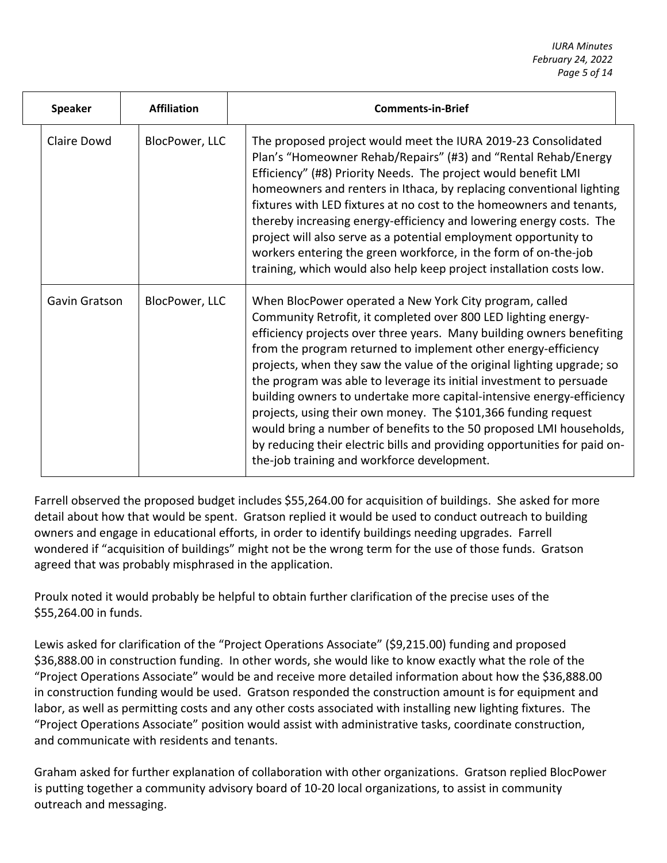| Speaker       | <b>Affiliation</b> | <b>Comments-in-Brief</b>                                                                                                                                                                                                                                                                                                                                                                                                                                                                                                                                                                                                                                                                                                                                            |
|---------------|--------------------|---------------------------------------------------------------------------------------------------------------------------------------------------------------------------------------------------------------------------------------------------------------------------------------------------------------------------------------------------------------------------------------------------------------------------------------------------------------------------------------------------------------------------------------------------------------------------------------------------------------------------------------------------------------------------------------------------------------------------------------------------------------------|
| Claire Dowd   | BlocPower, LLC     | The proposed project would meet the IURA 2019-23 Consolidated<br>Plan's "Homeowner Rehab/Repairs" (#3) and "Rental Rehab/Energy<br>Efficiency" (#8) Priority Needs. The project would benefit LMI<br>homeowners and renters in Ithaca, by replacing conventional lighting<br>fixtures with LED fixtures at no cost to the homeowners and tenants,<br>thereby increasing energy-efficiency and lowering energy costs. The<br>project will also serve as a potential employment opportunity to<br>workers entering the green workforce, in the form of on-the-job<br>training, which would also help keep project installation costs low.                                                                                                                             |
| Gavin Gratson | BlocPower, LLC     | When BlocPower operated a New York City program, called<br>Community Retrofit, it completed over 800 LED lighting energy-<br>efficiency projects over three years. Many building owners benefiting<br>from the program returned to implement other energy-efficiency<br>projects, when they saw the value of the original lighting upgrade; so<br>the program was able to leverage its initial investment to persuade<br>building owners to undertake more capital-intensive energy-efficiency<br>projects, using their own money. The \$101,366 funding request<br>would bring a number of benefits to the 50 proposed LMI households,<br>by reducing their electric bills and providing opportunities for paid on-<br>the-job training and workforce development. |

Farrell observed the proposed budget includes \$55,264.00 for acquisition of buildings. She asked for more detail about how that would be spent. Gratson replied it would be used to conduct outreach to building owners and engage in educational efforts, in order to identify buildings needing upgrades. Farrell wondered if "acquisition of buildings" might not be the wrong term for the use of those funds. Gratson agreed that was probably misphrased in the application.

Proulx noted it would probably be helpful to obtain further clarification of the precise uses of the \$55,264.00 in funds.

Lewis asked for clarification of the "Project Operations Associate" (\$9,215.00) funding and proposed \$36,888.00 in construction funding. In other words, she would like to know exactly what the role of the "Project Operations Associate" would be and receive more detailed information about how the \$36,888.00 in construction funding would be used. Gratson responded the construction amount is for equipment and labor, as well as permitting costs and any other costs associated with installing new lighting fixtures. The "Project Operations Associate" position would assist with administrative tasks, coordinate construction, and communicate with residents and tenants.

Graham asked for further explanation of collaboration with other organizations. Gratson replied BlocPower is putting together a community advisory board of 10-20 local organizations, to assist in community outreach and messaging.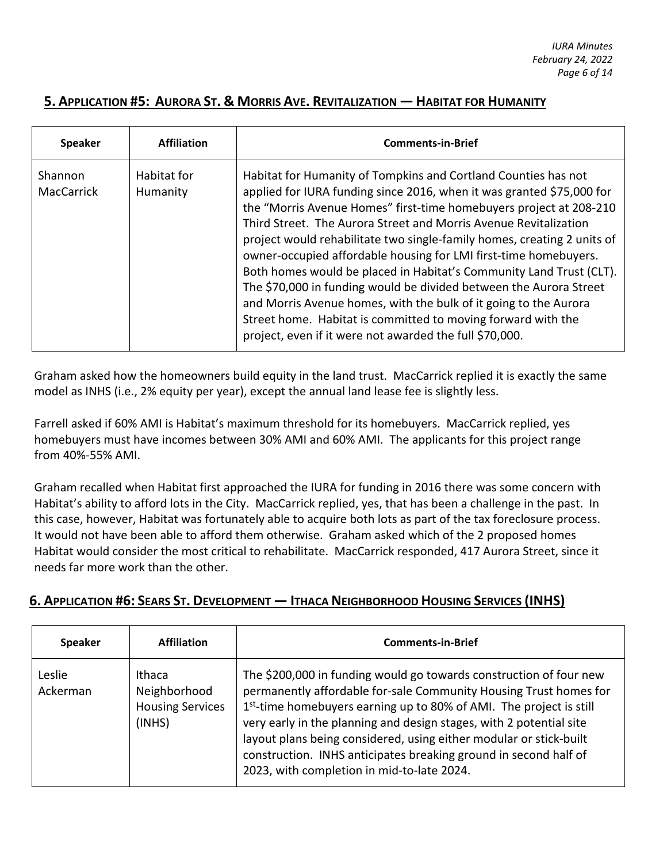# **5. APPLICATION #5: AURORA ST. & MORRIS AVE. REVITALIZATION ― HABITAT FOR HUMANITY**

| <b>Speaker</b>               | <b>Affiliation</b>      | <b>Comments-in-Brief</b>                                                                                                                                                                                                                                                                                                                                                                                                                                                                                                                                                                                                                                                                                                                                                     |
|------------------------------|-------------------------|------------------------------------------------------------------------------------------------------------------------------------------------------------------------------------------------------------------------------------------------------------------------------------------------------------------------------------------------------------------------------------------------------------------------------------------------------------------------------------------------------------------------------------------------------------------------------------------------------------------------------------------------------------------------------------------------------------------------------------------------------------------------------|
| Shannon<br><b>MacCarrick</b> | Habitat for<br>Humanity | Habitat for Humanity of Tompkins and Cortland Counties has not<br>applied for IURA funding since 2016, when it was granted \$75,000 for<br>the "Morris Avenue Homes" first-time homebuyers project at 208-210<br>Third Street. The Aurora Street and Morris Avenue Revitalization<br>project would rehabilitate two single-family homes, creating 2 units of<br>owner-occupied affordable housing for LMI first-time homebuyers.<br>Both homes would be placed in Habitat's Community Land Trust (CLT).<br>The \$70,000 in funding would be divided between the Aurora Street<br>and Morris Avenue homes, with the bulk of it going to the Aurora<br>Street home. Habitat is committed to moving forward with the<br>project, even if it were not awarded the full \$70,000. |

Graham asked how the homeowners build equity in the land trust. MacCarrick replied it is exactly the same model as INHS (i.e., 2% equity per year), except the annual land lease fee is slightly less.

Farrell asked if 60% AMI is Habitat's maximum threshold for its homebuyers. MacCarrick replied, yes homebuyers must have incomes between 30% AMI and 60% AMI. The applicants for this project range from 40%-55% AMI.

Graham recalled when Habitat first approached the IURA for funding in 2016 there was some concern with Habitat's ability to afford lots in the City. MacCarrick replied, yes, that has been a challenge in the past. In this case, however, Habitat was fortunately able to acquire both lots as part of the tax foreclosure process. It would not have been able to afford them otherwise. Graham asked which of the 2 proposed homes Habitat would consider the most critical to rehabilitate. MacCarrick responded, 417 Aurora Street, since it needs far more work than the other.

# **6. APPLICATION #6: SEARS ST. DEVELOPMENT ― ITHACA NEIGHBORHOOD HOUSING SERVICES (INHS)**

| <b>Speaker</b>     | <b>Affiliation</b>                                          | <b>Comments-in-Brief</b>                                                                                                                                                                                                                                                                                                                                                                                                                                                                  |
|--------------------|-------------------------------------------------------------|-------------------------------------------------------------------------------------------------------------------------------------------------------------------------------------------------------------------------------------------------------------------------------------------------------------------------------------------------------------------------------------------------------------------------------------------------------------------------------------------|
| Leslie<br>Ackerman | Ithaca<br>Neighborhood<br><b>Housing Services</b><br>(INHS) | The \$200,000 in funding would go towards construction of four new<br>permanently affordable for-sale Community Housing Trust homes for<br>1 <sup>st</sup> -time homebuyers earning up to 80% of AMI. The project is still<br>very early in the planning and design stages, with 2 potential site<br>layout plans being considered, using either modular or stick-built<br>construction. INHS anticipates breaking ground in second half of<br>2023, with completion in mid-to-late 2024. |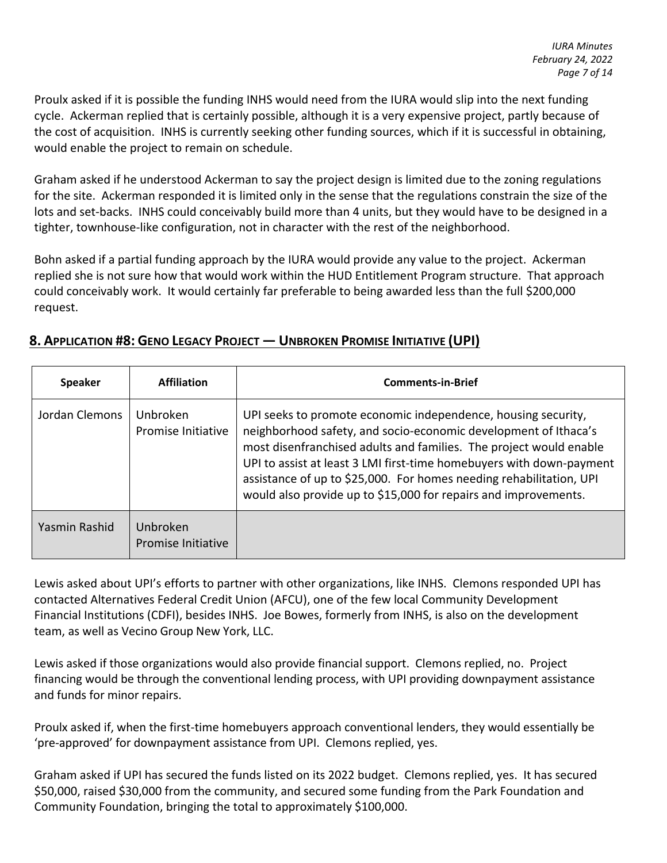Proulx asked if it is possible the funding INHS would need from the IURA would slip into the next funding cycle. Ackerman replied that is certainly possible, although it is a very expensive project, partly because of the cost of acquisition. INHS is currently seeking other funding sources, which if it is successful in obtaining, would enable the project to remain on schedule.

Graham asked if he understood Ackerman to say the project design is limited due to the zoning regulations for the site. Ackerman responded it is limited only in the sense that the regulations constrain the size of the lots and set-backs. INHS could conceivably build more than 4 units, but they would have to be designed in a tighter, townhouse-like configuration, not in character with the rest of the neighborhood.

Bohn asked if a partial funding approach by the IURA would provide any value to the project. Ackerman replied she is not sure how that would work within the HUD Entitlement Program structure. That approach could conceivably work. It would certainly far preferable to being awarded less than the full \$200,000 request.

| <b>Speaker</b> | <b>Affiliation</b>                    | <b>Comments-in-Brief</b>                                                                                                                                                                                                                                                                                                                                                                                                 |
|----------------|---------------------------------------|--------------------------------------------------------------------------------------------------------------------------------------------------------------------------------------------------------------------------------------------------------------------------------------------------------------------------------------------------------------------------------------------------------------------------|
| Jordan Clemons | Unbroken<br>Promise Initiative        | UPI seeks to promote economic independence, housing security,<br>neighborhood safety, and socio-economic development of Ithaca's<br>most disenfranchised adults and families. The project would enable<br>UPI to assist at least 3 LMI first-time homebuyers with down-payment<br>assistance of up to \$25,000. For homes needing rehabilitation, UPI<br>would also provide up to \$15,000 for repairs and improvements. |
| Yasmin Rashid  | Unbroken<br><b>Promise Initiative</b> |                                                                                                                                                                                                                                                                                                                                                                                                                          |

# **8. APPLICATION #8: GENO LEGACY PROJECT ― UNBROKEN PROMISE INITIATIVE (UPI)**

Lewis asked about UPI's efforts to partner with other organizations, like INHS. Clemons responded UPI has contacted Alternatives Federal Credit Union (AFCU), one of the few local Community Development Financial Institutions (CDFI), besides INHS. Joe Bowes, formerly from INHS, is also on the development team, as well as Vecino Group New York, LLC.

Lewis asked if those organizations would also provide financial support. Clemons replied, no. Project financing would be through the conventional lending process, with UPI providing downpayment assistance and funds for minor repairs.

Proulx asked if, when the first-time homebuyers approach conventional lenders, they would essentially be 'pre-approved' for downpayment assistance from UPI. Clemons replied, yes.

Graham asked if UPI has secured the funds listed on its 2022 budget. Clemons replied, yes. It has secured \$50,000, raised \$30,000 from the community, and secured some funding from the Park Foundation and Community Foundation, bringing the total to approximately \$100,000.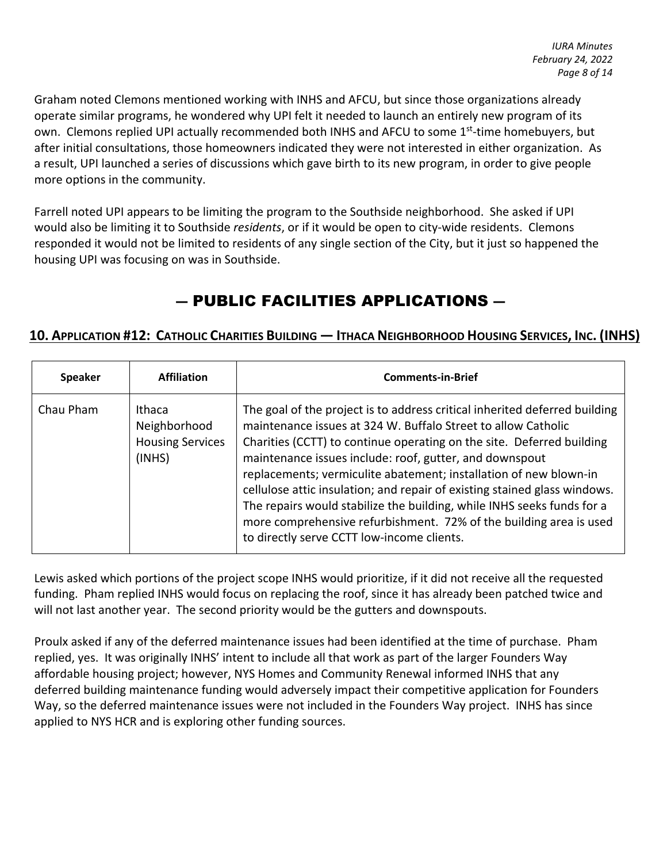Graham noted Clemons mentioned working with INHS and AFCU, but since those organizations already operate similar programs, he wondered why UPI felt it needed to launch an entirely new program of its own. Clemons replied UPI actually recommended both INHS and AFCU to some 1<sup>st</sup>-time homebuyers, but after initial consultations, those homeowners indicated they were not interested in either organization. As a result, UPI launched a series of discussions which gave birth to its new program, in order to give people more options in the community.

Farrell noted UPI appears to be limiting the program to the Southside neighborhood. She asked if UPI would also be limiting it to Southside *residents*, or if it would be open to city-wide residents. Clemons responded it would not be limited to residents of any single section of the City, but it just so happened the housing UPI was focusing on was in Southside.

# ― PUBLIC FACILITIES APPLICATIONS ―

# **10. APPLICATION #12: CATHOLIC CHARITIES BUILDING ― ITHACA NEIGHBORHOOD HOUSING SERVICES, INC. (INHS)**

| <b>Speaker</b> | <b>Affiliation</b>                                          | <b>Comments-in-Brief</b>                                                                                                                                                                                                                                                                                                                                                                                                                                                                                                                                                                                                        |
|----------------|-------------------------------------------------------------|---------------------------------------------------------------------------------------------------------------------------------------------------------------------------------------------------------------------------------------------------------------------------------------------------------------------------------------------------------------------------------------------------------------------------------------------------------------------------------------------------------------------------------------------------------------------------------------------------------------------------------|
| Chau Pham      | Ithaca<br>Neighborhood<br><b>Housing Services</b><br>(INHS) | The goal of the project is to address critical inherited deferred building<br>maintenance issues at 324 W. Buffalo Street to allow Catholic<br>Charities (CCTT) to continue operating on the site. Deferred building<br>maintenance issues include: roof, gutter, and downspout<br>replacements; vermiculite abatement; installation of new blown-in<br>cellulose attic insulation; and repair of existing stained glass windows.<br>The repairs would stabilize the building, while INHS seeks funds for a<br>more comprehensive refurbishment. 72% of the building area is used<br>to directly serve CCTT low-income clients. |

Lewis asked which portions of the project scope INHS would prioritize, if it did not receive all the requested funding. Pham replied INHS would focus on replacing the roof, since it has already been patched twice and will not last another year. The second priority would be the gutters and downspouts.

Proulx asked if any of the deferred maintenance issues had been identified at the time of purchase. Pham replied, yes. It was originally INHS' intent to include all that work as part of the larger Founders Way affordable housing project; however, NYS Homes and Community Renewal informed INHS that any deferred building maintenance funding would adversely impact their competitive application for Founders Way, so the deferred maintenance issues were not included in the Founders Way project. INHS has since applied to NYS HCR and is exploring other funding sources.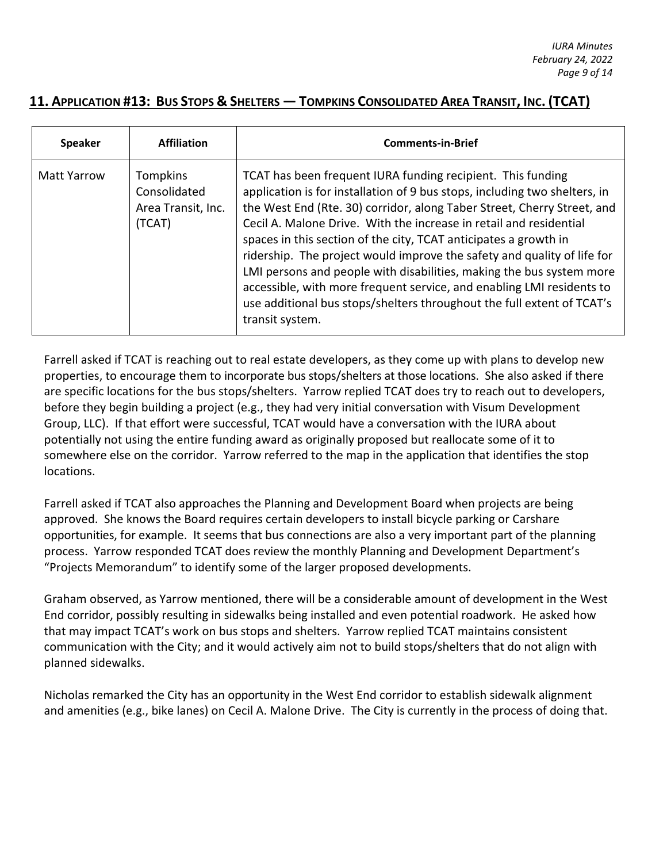# **11. APPLICATION #13: BUS STOPS & SHELTERS ― TOMPKINS CONSOLIDATED AREA TRANSIT, INC. (TCAT)**

| <b>Speaker</b>     | <b>Affiliation</b>                                       | <b>Comments-in-Brief</b>                                                                                                                                                                                                                                                                                                                                                                                                                                                                                                                                                                                                                                                                |
|--------------------|----------------------------------------------------------|-----------------------------------------------------------------------------------------------------------------------------------------------------------------------------------------------------------------------------------------------------------------------------------------------------------------------------------------------------------------------------------------------------------------------------------------------------------------------------------------------------------------------------------------------------------------------------------------------------------------------------------------------------------------------------------------|
| <b>Matt Yarrow</b> | Tompkins<br>Consolidated<br>Area Transit, Inc.<br>(TCAT) | TCAT has been frequent IURA funding recipient. This funding<br>application is for installation of 9 bus stops, including two shelters, in<br>the West End (Rte. 30) corridor, along Taber Street, Cherry Street, and<br>Cecil A. Malone Drive. With the increase in retail and residential<br>spaces in this section of the city, TCAT anticipates a growth in<br>ridership. The project would improve the safety and quality of life for<br>LMI persons and people with disabilities, making the bus system more<br>accessible, with more frequent service, and enabling LMI residents to<br>use additional bus stops/shelters throughout the full extent of TCAT's<br>transit system. |

Farrell asked if TCAT is reaching out to real estate developers, as they come up with plans to develop new properties, to encourage them to incorporate bus stops/shelters at those locations. She also asked if there are specific locations for the bus stops/shelters. Yarrow replied TCAT does try to reach out to developers, before they begin building a project (e.g., they had very initial conversation with Visum Development Group, LLC). If that effort were successful, TCAT would have a conversation with the IURA about potentially not using the entire funding award as originally proposed but reallocate some of it to somewhere else on the corridor. Yarrow referred to the map in the application that identifies the stop locations.

Farrell asked if TCAT also approaches the Planning and Development Board when projects are being approved. She knows the Board requires certain developers to install bicycle parking or Carshare opportunities, for example. It seems that bus connections are also a very important part of the planning process. Yarrow responded TCAT does review the monthly Planning and Development Department's "Projects Memorandum" to identify some of the larger proposed developments.

Graham observed, as Yarrow mentioned, there will be a considerable amount of development in the West End corridor, possibly resulting in sidewalks being installed and even potential roadwork. He asked how that may impact TCAT's work on bus stops and shelters. Yarrow replied TCAT maintains consistent communication with the City; and it would actively aim not to build stops/shelters that do not align with planned sidewalks.

Nicholas remarked the City has an opportunity in the West End corridor to establish sidewalk alignment and amenities (e.g., bike lanes) on Cecil A. Malone Drive. The City is currently in the process of doing that.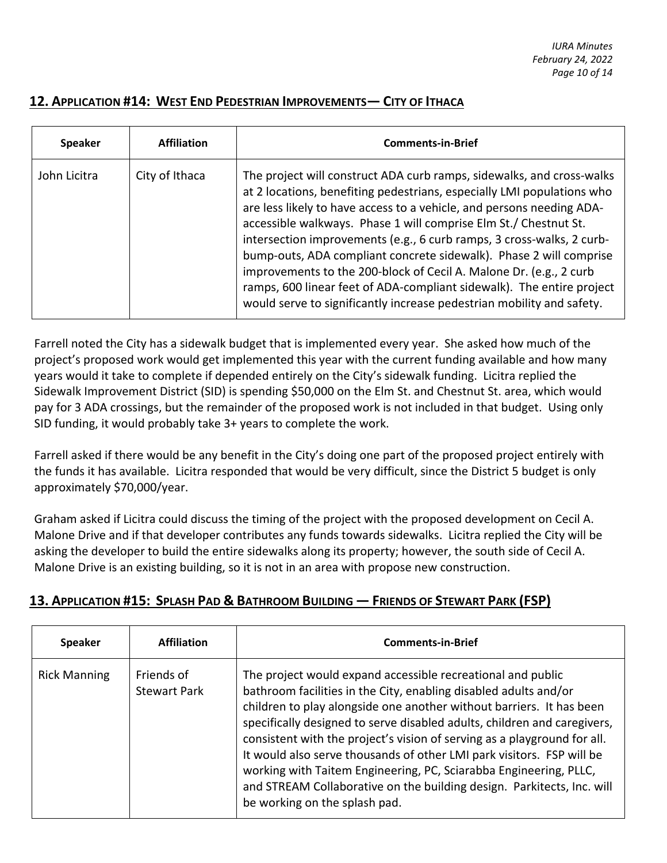# **12. APPLICATION #14: WEST END PEDESTRIAN IMPROVEMENTS― CITY OF ITHACA**

| <b>Speaker</b> | <b>Affiliation</b> | <b>Comments-in-Brief</b>                                                                                                                                                                                                                                                                                                                                                                                                                                                                                                                                                                                                                                            |
|----------------|--------------------|---------------------------------------------------------------------------------------------------------------------------------------------------------------------------------------------------------------------------------------------------------------------------------------------------------------------------------------------------------------------------------------------------------------------------------------------------------------------------------------------------------------------------------------------------------------------------------------------------------------------------------------------------------------------|
| John Licitra   | City of Ithaca     | The project will construct ADA curb ramps, sidewalks, and cross-walks<br>at 2 locations, benefiting pedestrians, especially LMI populations who<br>are less likely to have access to a vehicle, and persons needing ADA-<br>accessible walkways. Phase 1 will comprise Elm St./ Chestnut St.<br>intersection improvements (e.g., 6 curb ramps, 3 cross-walks, 2 curb-<br>bump-outs, ADA compliant concrete sidewalk). Phase 2 will comprise<br>improvements to the 200-block of Cecil A. Malone Dr. (e.g., 2 curb<br>ramps, 600 linear feet of ADA-compliant sidewalk). The entire project<br>would serve to significantly increase pedestrian mobility and safety. |

Farrell noted the City has a sidewalk budget that is implemented every year. She asked how much of the project's proposed work would get implemented this year with the current funding available and how many years would it take to complete if depended entirely on the City's sidewalk funding. Licitra replied the Sidewalk Improvement District (SID) is spending \$50,000 on the Elm St. and Chestnut St. area, which would pay for 3 ADA crossings, but the remainder of the proposed work is not included in that budget. Using only SID funding, it would probably take 3+ years to complete the work.

Farrell asked if there would be any benefit in the City's doing one part of the proposed project entirely with the funds it has available. Licitra responded that would be very difficult, since the District 5 budget is only approximately \$70,000/year.

Graham asked if Licitra could discuss the timing of the project with the proposed development on Cecil A. Malone Drive and if that developer contributes any funds towards sidewalks. Licitra replied the City will be asking the developer to build the entire sidewalks along its property; however, the south side of Cecil A. Malone Drive is an existing building, so it is not in an area with propose new construction.

| <b>Speaker</b>      | <b>Affiliation</b>                | <b>Comments-in-Brief</b>                                                                                                                                                                                                                                                                                                                                                                                                                                                                                                                                                                                                 |
|---------------------|-----------------------------------|--------------------------------------------------------------------------------------------------------------------------------------------------------------------------------------------------------------------------------------------------------------------------------------------------------------------------------------------------------------------------------------------------------------------------------------------------------------------------------------------------------------------------------------------------------------------------------------------------------------------------|
| <b>Rick Manning</b> | Friends of<br><b>Stewart Park</b> | The project would expand accessible recreational and public<br>bathroom facilities in the City, enabling disabled adults and/or<br>children to play alongside one another without barriers. It has been<br>specifically designed to serve disabled adults, children and caregivers,<br>consistent with the project's vision of serving as a playground for all.<br>It would also serve thousands of other LMI park visitors. FSP will be<br>working with Taitem Engineering, PC, Sciarabba Engineering, PLLC,<br>and STREAM Collaborative on the building design. Parkitects, Inc. will<br>be working on the splash pad. |

# **13. APPLICATION #15: SPLASH PAD & BATHROOM BUILDING ― FRIENDS OF STEWART PARK (FSP)**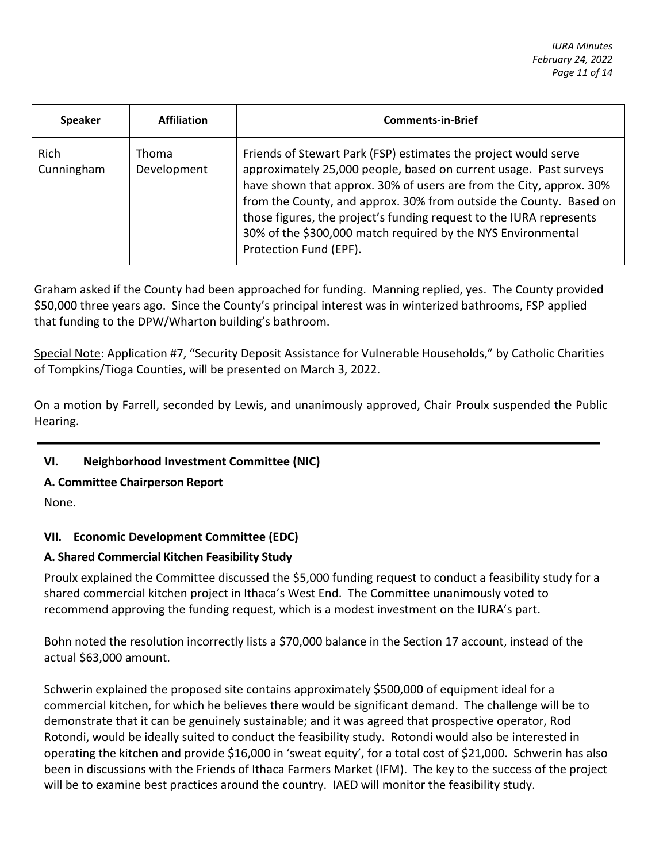| <b>Speaker</b>            | <b>Affiliation</b>   | <b>Comments-in-Brief</b>                                                                                                                                                                                                                                                                                                                                                                                                                           |
|---------------------------|----------------------|----------------------------------------------------------------------------------------------------------------------------------------------------------------------------------------------------------------------------------------------------------------------------------------------------------------------------------------------------------------------------------------------------------------------------------------------------|
| <b>Rich</b><br>Cunningham | Thoma<br>Development | Friends of Stewart Park (FSP) estimates the project would serve<br>approximately 25,000 people, based on current usage. Past surveys<br>have shown that approx. 30% of users are from the City, approx. 30%<br>from the County, and approx. 30% from outside the County. Based on<br>those figures, the project's funding request to the IURA represents<br>30% of the \$300,000 match required by the NYS Environmental<br>Protection Fund (EPF). |

Graham asked if the County had been approached for funding. Manning replied, yes. The County provided \$50,000 three years ago. Since the County's principal interest was in winterized bathrooms, FSP applied that funding to the DPW/Wharton building's bathroom.

Special Note: Application #7, "Security Deposit Assistance for Vulnerable Households," by Catholic Charities of Tompkins/Tioga Counties, will be presented on March 3, 2022.

On a motion by Farrell, seconded by Lewis, and unanimously approved, Chair Proulx suspended the Public Hearing.

# **VI. Neighborhood Investment Committee (NIC)**

## **A. Committee Chairperson Report**

None.

## **VII. Economic Development Committee (EDC)**

## **A. Shared Commercial Kitchen Feasibility Study**

Proulx explained the Committee discussed the \$5,000 funding request to conduct a feasibility study for a shared commercial kitchen project in Ithaca's West End. The Committee unanimously voted to recommend approving the funding request, which is a modest investment on the IURA's part.

Bohn noted the resolution incorrectly lists a \$70,000 balance in the Section 17 account, instead of the actual \$63,000 amount.

Schwerin explained the proposed site contains approximately \$500,000 of equipment ideal for a commercial kitchen, for which he believes there would be significant demand. The challenge will be to demonstrate that it can be genuinely sustainable; and it was agreed that prospective operator, Rod Rotondi, would be ideally suited to conduct the feasibility study. Rotondi would also be interested in operating the kitchen and provide \$16,000 in 'sweat equity', for a total cost of \$21,000. Schwerin has also been in discussions with the Friends of Ithaca Farmers Market (IFM). The key to the success of the project will be to examine best practices around the country. IAED will monitor the feasibility study.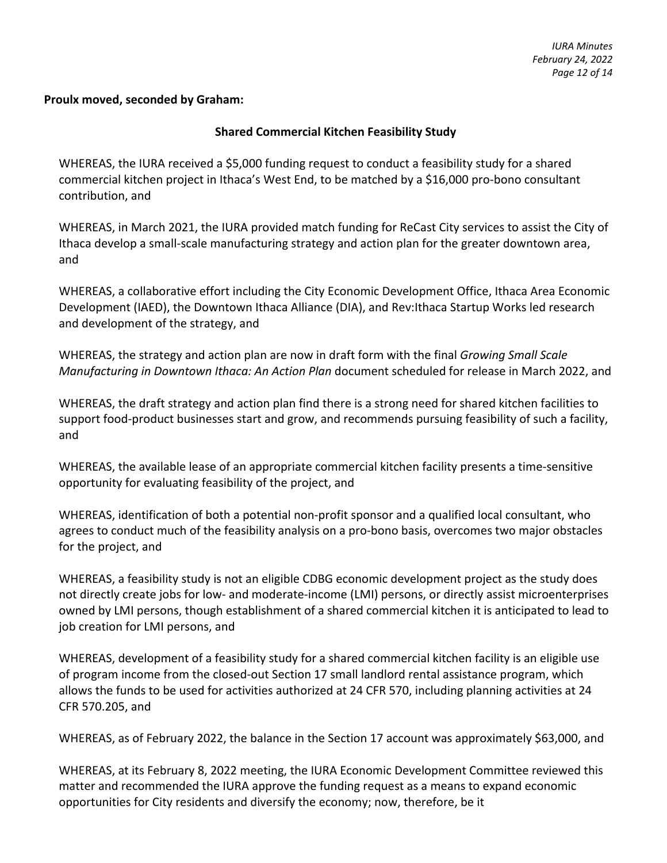#### **Proulx moved, seconded by Graham:**

#### **Shared Commercial Kitchen Feasibility Study**

WHEREAS, the IURA received a \$5,000 funding request to conduct a feasibility study for a shared commercial kitchen project in Ithaca's West End, to be matched by a \$16,000 pro-bono consultant contribution, and

WHEREAS, in March 2021, the IURA provided match funding for ReCast City services to assist the City of Ithaca develop a small-scale manufacturing strategy and action plan for the greater downtown area, and

WHEREAS, a collaborative effort including the City Economic Development Office, Ithaca Area Economic Development (IAED), the Downtown Ithaca Alliance (DIA), and Rev:Ithaca Startup Works led research and development of the strategy, and

WHEREAS, the strategy and action plan are now in draft form with the final *Growing Small Scale Manufacturing in Downtown Ithaca: An Action Plan* document scheduled for release in March 2022, and

WHEREAS, the draft strategy and action plan find there is a strong need for shared kitchen facilities to support food-product businesses start and grow, and recommends pursuing feasibility of such a facility, and

WHEREAS, the available lease of an appropriate commercial kitchen facility presents a time-sensitive opportunity for evaluating feasibility of the project, and

WHEREAS, identification of both a potential non-profit sponsor and a qualified local consultant, who agrees to conduct much of the feasibility analysis on a pro-bono basis, overcomes two major obstacles for the project, and

WHEREAS, a feasibility study is not an eligible CDBG economic development project as the study does not directly create jobs for low- and moderate-income (LMI) persons, or directly assist microenterprises owned by LMI persons, though establishment of a shared commercial kitchen it is anticipated to lead to job creation for LMI persons, and

WHEREAS, development of a feasibility study for a shared commercial kitchen facility is an eligible use of program income from the closed-out Section 17 small landlord rental assistance program, which allows the funds to be used for activities authorized at 24 CFR 570, including planning activities at 24 CFR 570.205, and

WHEREAS, as of February 2022, the balance in the Section 17 account was approximately \$63,000, and

WHEREAS, at its February 8, 2022 meeting, the IURA Economic Development Committee reviewed this matter and recommended the IURA approve the funding request as a means to expand economic opportunities for City residents and diversify the economy; now, therefore, be it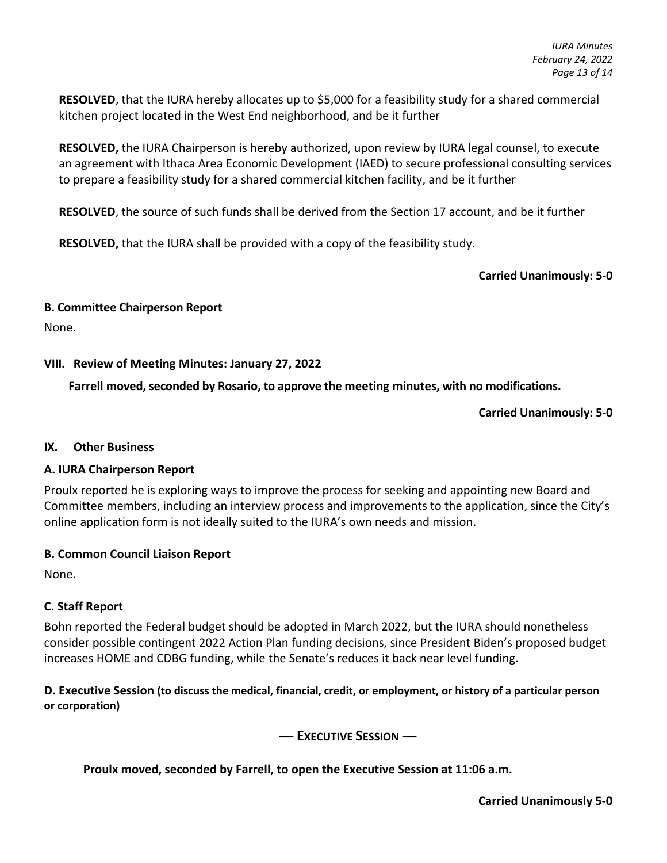**RESOLVED**, that the IURA hereby allocates up to \$5,000 for a feasibility study for a shared commercial kitchen project located in the West End neighborhood, and be it further

**RESOLVED,** the IURA Chairperson is hereby authorized, upon review by IURA legal counsel, to execute an agreement with Ithaca Area Economic Development (IAED) to secure professional consulting services to prepare a feasibility study for a shared commercial kitchen facility, and be it further

**RESOLVED**, the source of such funds shall be derived from the Section 17 account, and be it further

**RESOLVED,** that the IURA shall be provided with a copy of the feasibility study.

#### **Carried Unanimously: 5-0**

#### **B. Committee Chairperson Report**

None.

#### **VIII. Review of Meeting Minutes: January 27, 2022**

**Farrell moved, seconded by Rosario, to approve the meeting minutes, with no modifications.**

#### **Carried Unanimously: 5-0**

#### **IX. Other Business**

#### **A. IURA Chairperson Report**

Proulx reported he is exploring ways to improve the process for seeking and appointing new Board and Committee members, including an interview process and improvements to the application, since the City's online application form is not ideally suited to the IURA's own needs and mission.

#### **B. Common Council Liaison Report**

None.

#### **C. Staff Report**

Bohn reported the Federal budget should be adopted in March 2022, but the IURA should nonetheless consider possible contingent 2022 Action Plan funding decisions, since President Biden's proposed budget increases HOME and CDBG funding, while the Senate's reduces it back near level funding.

#### **D. Executive Session (to discuss the medical, financial, credit, or employment, or history of a particular person or corporation)**

― **EXECUTIVE SESSION** ―

**Proulx moved, seconded by Farrell, to open the Executive Session at 11:06 a.m.**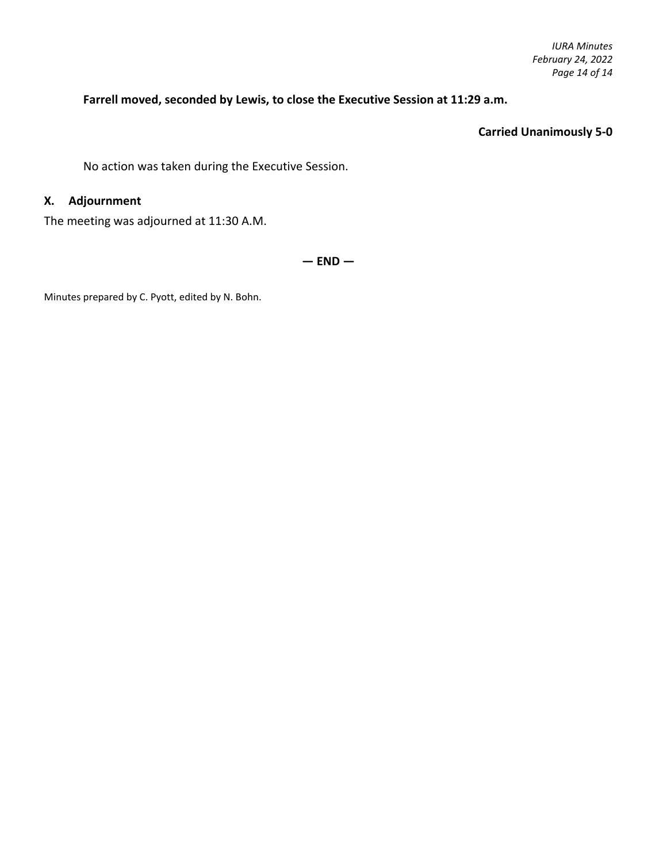### **Farrell moved, seconded by Lewis, to close the Executive Session at 11:29 a.m.**

#### **Carried Unanimously 5-0**

No action was taken during the Executive Session.

# **X. Adjournment**

The meeting was adjourned at 11:30 A.M.

**— END —**

Minutes prepared by C. Pyott, edited by N. Bohn.